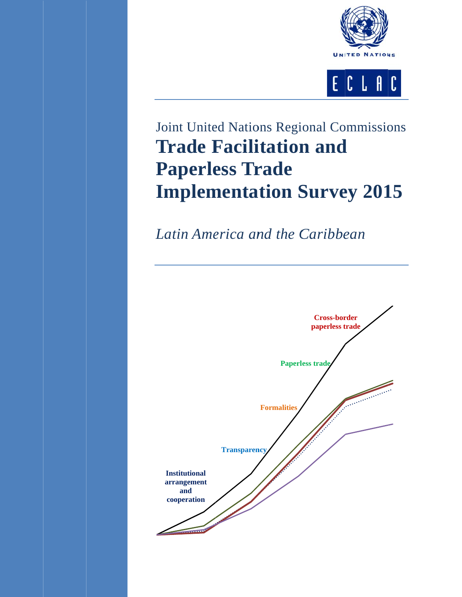

# Joint United Nations Regional Commissions **Trade Facilitation and Paperless Trade Implementation Survey 2015**

Latin America and the Caribbean

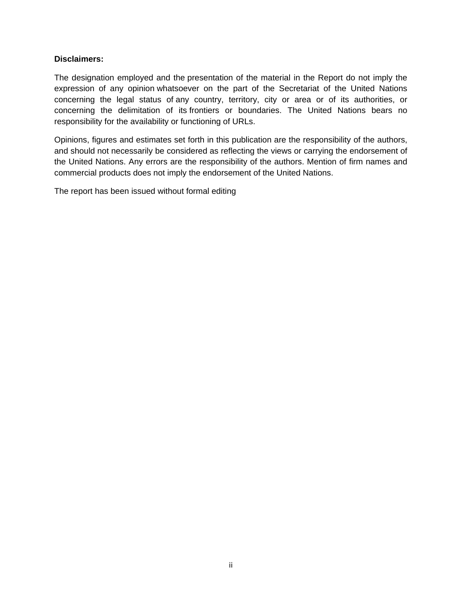#### **Disclaimers:**

The designation employed and the presentation of the material in the Report do not imply the expression of any opinion whatsoever on the part of the Secretariat of the United Nations concerning the legal status of any country, territory, city or area or of its authorities, or concerning the delimitation of its frontiers or boundaries. The United Nations bears no responsibility for the availability or functioning of URLs.

Opinions, figures and estimates set forth in this publication are the responsibility of the authors, and should not necessarily be considered as reflecting the views or carrying the endorsement of the United Nations. Any errors are the responsibility of the authors. Mention of firm names and commercial products does not imply the endorsement of the United Nations.

The report has been issued without formal editing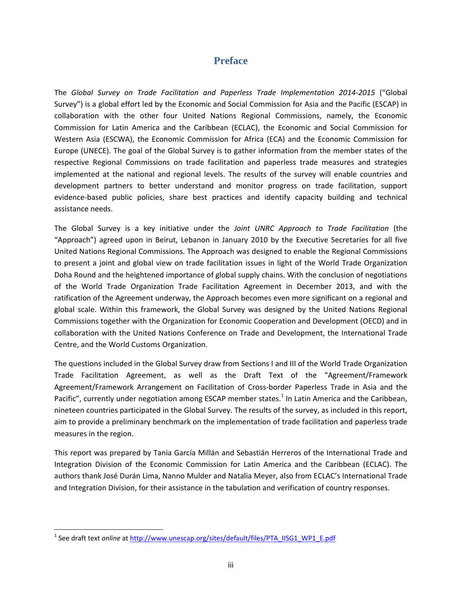#### **Preface**

The *Global Survey on Trade Facilitation and Paperless Trade Implementation 2014‐2015* ("Global Survey") is a global effort led by the Economic and Social Commission for Asia and the Pacific (ESCAP) in collaboration with the other four United Nations Regional Commissions, namely, the Economic Commission for Latin America and the Caribbean (ECLAC), the Economic and Social Commission for Western Asia (ESCWA), the Economic Commission for Africa (ECA) and the Economic Commission for Europe (UNECE). The goal of the Global Survey is to gather information from the member states of the respective Regional Commissions on trade facilitation and paperless trade measures and strategies implemented at the national and regional levels. The results of the survey will enable countries and development partners to better understand and monitor progress on trade facilitation, support evidence‐based public policies, share best practices and identify capacity building and technical assistance needs.

The Global Survey is a key initiative under the *Joint UNRC Approach to Trade Facilitation* (the "Approach") agreed upon in Beirut, Lebanon in January 2010 by the Executive Secretaries for all five United Nations Regional Commissions. The Approach was designed to enable the Regional Commissions to present a joint and global view on trade facilitation issues in light of the World Trade Organization Doha Round and the heightened importance of global supply chains. With the conclusion of negotiations of the World Trade Organization Trade Facilitation Agreement in December 2013, and with the ratification of the Agreement underway, the Approach becomes even more significant on a regional and global scale. Within this framework, the Global Survey was designed by the United Nations Regional Commissions together with the Organization for Economic Cooperation and Development (OECD) and in collaboration with the United Nations Conference on Trade and Development, the International Trade Centre, and the World Customs Organization.

The questions included in the Global Survey draw from Sections I and III of the World Trade Organization Trade Facilitation Agreement, as well as the Draft Text of the "Agreement/Framework Agreement/Framework Arrangement on Facilitation of Cross‐border Paperless Trade in Asia and the Pacific", currently under negotiation among ESCAP member states.<sup>1</sup> In Latin America and the Caribbean, nineteen countries participated in the Global Survey. The results of the survey, as included in this report, aim to provide a preliminary benchmark on the implementation of trade facilitation and paperless trade measures in the region.

This report was prepared by Tania García Millán and Sebastián Herreros of the International Trade and Integration Division of the Economic Commission for Latin America and the Caribbean (ECLAC). The authors thank José Durán Lima, Nanno Mulder and Natalia Meyer, also from ECLAC's International Trade and Integration Division, for their assistance in the tabulation and verification of country responses.

<sup>&</sup>lt;sup>1</sup> See draft text *online* at http://www.unescap.org/sites/default/files/PTA\_IISG1\_WP1\_E.pdf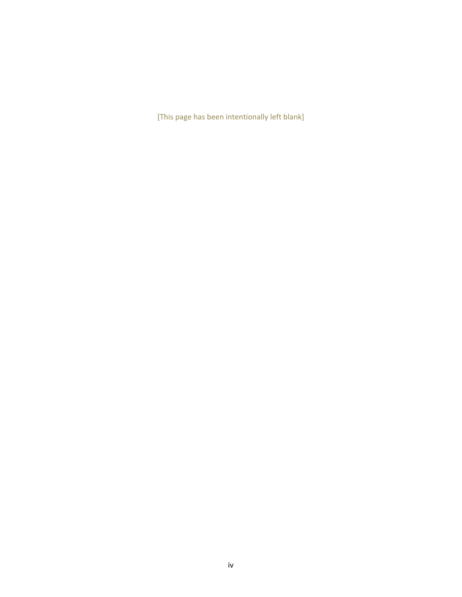[This page has been intentionally left blank]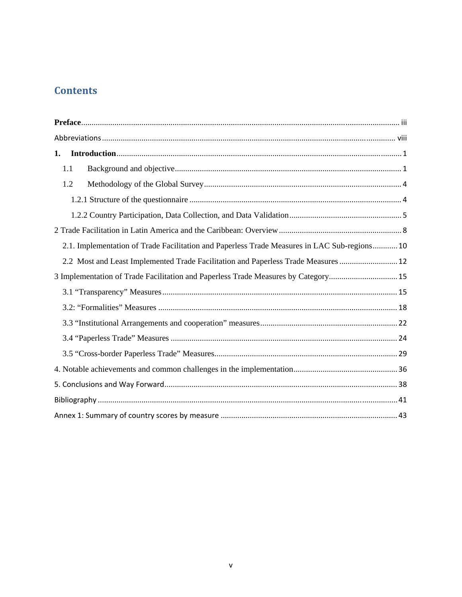## **Contents**

| 1.                                                                                           |
|----------------------------------------------------------------------------------------------|
| 1.1                                                                                          |
| 1.2                                                                                          |
|                                                                                              |
|                                                                                              |
|                                                                                              |
| 2.1. Implementation of Trade Facilitation and Paperless Trade Measures in LAC Sub-regions 10 |
| 2.2 Most and Least Implemented Trade Facilitation and Paperless Trade Measures  12           |
| 3 Implementation of Trade Facilitation and Paperless Trade Measures by Category 15           |
|                                                                                              |
|                                                                                              |
|                                                                                              |
|                                                                                              |
|                                                                                              |
|                                                                                              |
|                                                                                              |
|                                                                                              |
|                                                                                              |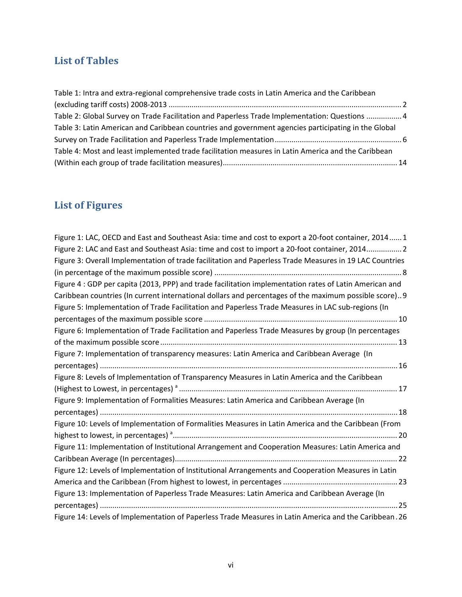## **List of Tables**

| Table 1: Intra and extra-regional comprehensive trade costs in Latin America and the Caribbean      |  |
|-----------------------------------------------------------------------------------------------------|--|
|                                                                                                     |  |
| Table 2: Global Survey on Trade Facilitation and Paperless Trade Implementation: Questions  4       |  |
| Table 3: Latin American and Caribbean countries and government agencies participating in the Global |  |
|                                                                                                     |  |
| Table 4: Most and least implemented trade facilitation measures in Latin America and the Caribbean  |  |
|                                                                                                     |  |

## **List of Figures**

| Figure 1: LAC, OECD and East and Southeast Asia: time and cost to export a 20-foot container, 2014 1    |
|---------------------------------------------------------------------------------------------------------|
| Figure 2: LAC and East and Southeast Asia: time and cost to import a 20-foot container, 20142           |
| Figure 3: Overall Implementation of trade facilitation and Paperless Trade Measures in 19 LAC Countries |
|                                                                                                         |
| Figure 4 : GDP per capita (2013, PPP) and trade facilitation implementation rates of Latin American and |
| Caribbean countries (In current international dollars and percentages of the maximum possible score)9   |
| Figure 5: Implementation of Trade Facilitation and Paperless Trade Measures in LAC sub-regions (In      |
|                                                                                                         |
| Figure 6: Implementation of Trade Facilitation and Paperless Trade Measures by group (In percentages    |
|                                                                                                         |
| Figure 7: Implementation of transparency measures: Latin America and Caribbean Average (In              |
|                                                                                                         |
| Figure 8: Levels of Implementation of Transparency Measures in Latin America and the Caribbean          |
|                                                                                                         |
| Figure 9: Implementation of Formalities Measures: Latin America and Caribbean Average (In               |
|                                                                                                         |
| Figure 10: Levels of Implementation of Formalities Measures in Latin America and the Caribbean (From    |
|                                                                                                         |
| Figure 11: Implementation of Institutional Arrangement and Cooperation Measures: Latin America and      |
|                                                                                                         |
| Figure 12: Levels of Implementation of Institutional Arrangements and Cooperation Measures in Latin     |
|                                                                                                         |
| Figure 13: Implementation of Paperless Trade Measures: Latin America and Caribbean Average (In          |
|                                                                                                         |
| Figure 14: Levels of Implementation of Paperless Trade Measures in Latin America and the Caribbean. 26  |
|                                                                                                         |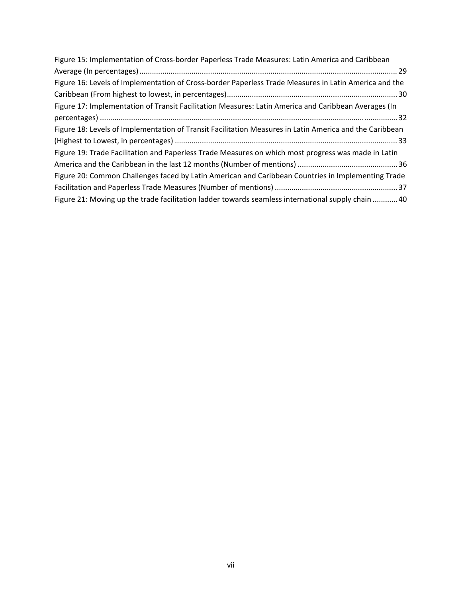| Figure 15: Implementation of Cross-border Paperless Trade Measures: Latin America and Caribbean         |
|---------------------------------------------------------------------------------------------------------|
|                                                                                                         |
| Figure 16: Levels of Implementation of Cross-border Paperless Trade Measures in Latin America and the   |
|                                                                                                         |
| Figure 17: Implementation of Transit Facilitation Measures: Latin America and Caribbean Averages (In    |
|                                                                                                         |
| Figure 18: Levels of Implementation of Transit Facilitation Measures in Latin America and the Caribbean |
|                                                                                                         |
| Figure 19: Trade Facilitation and Paperless Trade Measures on which most progress was made in Latin     |
|                                                                                                         |
| Figure 20: Common Challenges faced by Latin American and Caribbean Countries in Implementing Trade      |
|                                                                                                         |
| Figure 21: Moving up the trade facilitation ladder towards seamless international supply chain  40      |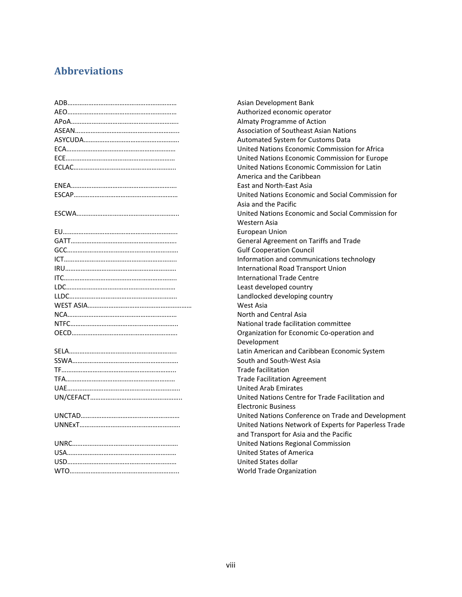## **Abbreviations**

| Asian Development Bank                                |
|-------------------------------------------------------|
| Authorized economic operator                          |
| Almaty Programme of Action                            |
| Association of Southeast Asian Nations                |
| Automated System for Customs Data                     |
| United Nations Economic Commission for Africa         |
| United Nations Economic Commission for Europe         |
| United Nations Economic Commission for Latin          |
| America and the Caribbean                             |
| <b>East and North-East Asia</b>                       |
| United Nations Economic and Social Commission for     |
| Asia and the Pacific                                  |
| United Nations Economic and Social Commission for     |
| Western Asia                                          |
| <b>European Union</b>                                 |
| General Agreement on Tariffs and Trade                |
| <b>Gulf Cooperation Council</b>                       |
| Information and communications technology             |
| International Road Transport Union                    |
| <b>International Trade Centre</b>                     |
| Least developed country                               |
| Landlocked developing country                         |
| West Asia                                             |
| North and Central Asia                                |
| National trade facilitation committee                 |
| Organization for Economic Co-operation and            |
| Development                                           |
| Latin American and Caribbean Economic System          |
| South and South-West Asia                             |
| Trade facilitation                                    |
| <b>Trade Facilitation Agreement</b>                   |
| <b>United Arab Emirates</b>                           |
| United Nations Centre for Trade Facilitation and      |
| <b>Electronic Business</b>                            |
| United Nations Conference on Trade and Development    |
| United Nations Network of Experts for Paperless Trade |
| and Transport for Asia and the Pacific                |
| United Nations Regional Commission                    |
| <b>United States of America</b>                       |
| United States dollar                                  |
| World Trade Organization                              |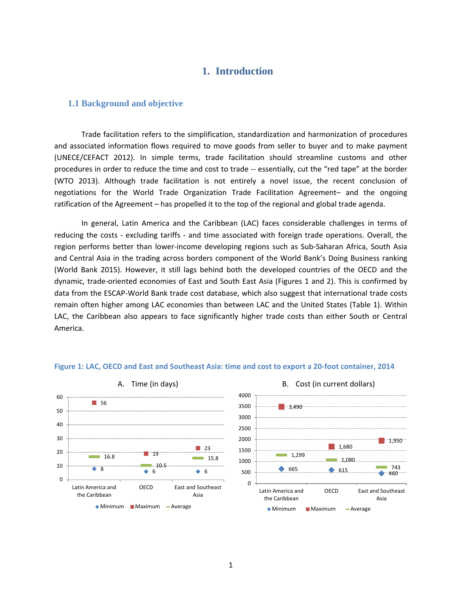#### **1. Introduction**

#### **1.1 Background and objective**

Trade facilitation refers to the simplification, standardization and harmonization of procedures and associated information flows required to move goods from seller to buyer and to make payment (UNECE/CEFACT 2012). In simple terms, trade facilitation should streamline customs and other procedures in order to reduce the time and cost to trade ‐‐ essentially, cut the "red tape" at the border (WTO 2013). Although trade facilitation is not entirely a novel issue, the recent conclusion of negotiations for the World Trade Organization Trade Facilitation Agreement– and the ongoing ratification of the Agreement – has propelled it to the top of the regional and global trade agenda.

In general, Latin America and the Caribbean (LAC) faces considerable challenges in terms of reducing the costs - excluding tariffs - and time associated with foreign trade operations. Overall, the region performs better than lower‐income developing regions such as Sub‐Saharan Africa, South Asia and Central Asia in the trading across borders component of the World Bank's Doing Business ranking (World Bank 2015). However, it still lags behind both the developed countries of the OECD and the dynamic, trade‐oriented economies of East and South East Asia (Figures 1 and 2). This is confirmed by data from the ESCAP‐World Bank trade cost database, which also suggest that international trade costs remain often higher among LAC economies than between LAC and the United States (Table 1). Within LAC, the Caribbean also appears to face significantly higher trade costs than either South or Central America.



#### Figure 1: LAC, OECD and East and Southeast Asia: time and cost to export a 20-foot container, 2014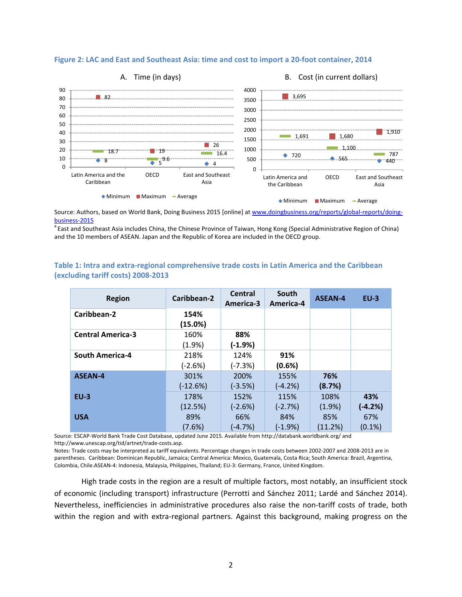#### Figure 2: LAC and East and Southeast Asia: time and cost to import a 20-foot container, 2014



Source: Authors, based on World Bank, Doing Business 2015 [online] at www.doingbusiness.org/reports/global-reports/doing $business-2015$ 

<sup>a</sup> East and Southeast Asia includes China, the Chinese Province of Taiwan, Hong Kong (Special Administrative Region of China) and the 10 members of ASEAN. Japan and the Republic of Korea are included in the OECD group.

#### **Table 1: Intra and extra‐regional comprehensive trade costs in Latin America and the Caribbean (excluding tariff costs) 2008‐2013**

| <b>Region</b>            | Caribbean-2        | Central<br>America-3 | South<br>America-4 | <b>ASEAN-4</b>    | $EU-3$           |
|--------------------------|--------------------|----------------------|--------------------|-------------------|------------------|
| Caribbean-2              | 154%<br>(15.0%)    |                      |                    |                   |                  |
| <b>Central America-3</b> | 160%<br>(1.9%)     | 88%<br>$(-1.9%)$     |                    |                   |                  |
| <b>South America-4</b>   | 218%<br>$(-2.6%)$  | 124%<br>$(-7.3%)$    | 91%<br>(0.6%)      |                   |                  |
| <b>ASEAN-4</b>           | 301%<br>$(-12.6%)$ | 200%<br>$(-3.5%)$    | 155%<br>$(-4.2%)$  | 76%<br>(8.7%)     |                  |
| $EU-3$                   | 178%<br>(12.5%)    | 152%<br>$(-2.6%)$    | 115%<br>$(-2.7%)$  | 108%<br>$(1.9\%)$ | 43%<br>$(-4.2%)$ |
| <b>USA</b>               | 89%<br>(7.6%)      | 66%<br>$(-4.7%)$     | 84%<br>$(-1.9%)$   | 85%<br>(11.2%)    | 67%<br>$(0.1\%)$ |

Source: ESCAP‐World Bank Trade Cost Database, updated June 2015. Available from http://databank.worldbank.org/ and http://www.unescap.org/tid/artnet/trade‐costs.asp.

Notes: Trade costs may be interpreted as tariff equivalents. Percentage changes in trade costs between 2002‐2007 and 2008‐2013 are in parentheses. Caribbean: Dominican Republic, Jamaica; Central America: Mexico, Guatemala, Costa Rica; South America: Brazil, Argentina, Colombia, Chile.ASEAN‐4: Indonesia, Malaysia, Philippines, Thailand; EU‐3: Germany, France, United Kingdom.

High trade costs in the region are a result of multiple factors, most notably, an insufficient stock of economic (including transport) infrastructure (Perrotti and Sánchez 2011; Lardé and Sánchez 2014). Nevertheless, inefficiencies in administrative procedures also raise the non-tariff costs of trade, both within the region and with extra-regional partners. Against this background, making progress on the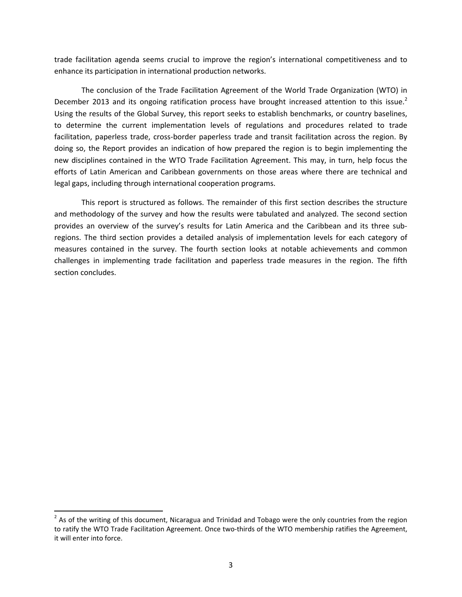trade facilitation agenda seems crucial to improve the region's international competitiveness and to enhance its participation in international production networks.

The conclusion of the Trade Facilitation Agreement of the World Trade Organization (WTO) in December 2013 and its ongoing ratification process have brought increased attention to this issue.<sup>2</sup> Using the results of the Global Survey, this report seeks to establish benchmarks, or country baselines, to determine the current implementation levels of regulations and procedures related to trade facilitation, paperless trade, cross-border paperless trade and transit facilitation across the region. By doing so, the Report provides an indication of how prepared the region is to begin implementing the new disciplines contained in the WTO Trade Facilitation Agreement. This may, in turn, help focus the efforts of Latin American and Caribbean governments on those areas where there are technical and legal gaps, including through international cooperation programs.

This report is structured as follows. The remainder of this first section describes the structure and methodology of the survey and how the results were tabulated and analyzed. The second section provides an overview of the survey's results for Latin America and the Caribbean and its three sub‐ regions. The third section provides a detailed analysis of implementation levels for each category of measures contained in the survey. The fourth section looks at notable achievements and common challenges in implementing trade facilitation and paperless trade measures in the region. The fifth section concludes.

 $2$  As of the writing of this document, Nicaragua and Trinidad and Tobago were the only countries from the region to ratify the WTO Trade Facilitation Agreement. Once two-thirds of the WTO membership ratifies the Agreement, it will enter into force.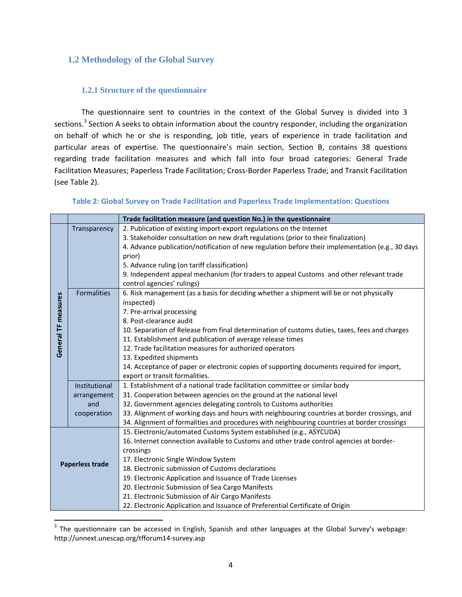#### **1.2 Methodology of the Global Survey**

#### **1.2.1 Structure of the questionnaire**

The questionnaire sent to countries in the context of the Global Survey is divided into 3 sections.<sup>3</sup> Section A seeks to obtain information about the country responder, including the organization on behalf of which he or she is responding, job title, years of experience in trade facilitation and particular areas of expertise. The questionnaire's main section, Section B, contains 38 questions regarding trade facilitation measures and which fall into four broad categories: General Trade Facilitation Measures; Paperless Trade Facilitation; Cross‐Border Paperless Trade; and Transit Facilitation (see Table 2).

#### **Table 2: Global Survey on Trade Facilitation and Paperless Trade Implementation: Questions**

|                     |                        | Trade facilitation measure (and question No.) in the questionnaire                               |
|---------------------|------------------------|--------------------------------------------------------------------------------------------------|
|                     | Transparency           | 2. Publication of existing import-export regulations on the Internet                             |
|                     |                        | 3. Stakeholder consultation on new draft regulations (prior to their finalization)               |
|                     |                        | 4. Advance publication/notification of new regulation before their implementation (e.g., 30 days |
|                     |                        | prior)                                                                                           |
|                     |                        | 5. Advance ruling (on tariff classification)                                                     |
|                     |                        | 9. Independent appeal mechanism (for traders to appeal Customs and other relevant trade          |
|                     |                        | control agencies' rulings)                                                                       |
|                     | <b>Formalities</b>     | 6. Risk management (as a basis for deciding whether a shipment will be or not physically         |
|                     |                        | inspected)                                                                                       |
|                     |                        | 7. Pre-arrival processing                                                                        |
|                     |                        | 8. Post-clearance audit                                                                          |
| General TF measures |                        | 10. Separation of Release from final determination of customs duties, taxes, fees and charges    |
|                     |                        | 11. Establishment and publication of average release times                                       |
|                     |                        | 12. Trade facilitation measures for authorized operators                                         |
|                     |                        | 13. Expedited shipments                                                                          |
|                     |                        | 14. Acceptance of paper or electronic copies of supporting documents required for import,        |
|                     |                        | export or transit formalities.                                                                   |
|                     | Institutional          | 1. Establishment of a national trade facilitation committee or similar body                      |
|                     | arrangement            | 31. Cooperation between agencies on the ground at the national level                             |
|                     | and                    | 32. Government agencies delegating controls to Customs authorities                               |
|                     | cooperation            | 33. Alignment of working days and hours with neighbouring countries at border crossings, and     |
|                     |                        | 34. Alignment of formalities and procedures with neighbouring countries at border crossings      |
|                     |                        | 15. Electronic/automated Customs System established (e.g., ASYCUDA)                              |
|                     |                        | 16. Internet connection available to Customs and other trade control agencies at border-         |
|                     |                        | crossings                                                                                        |
|                     | <b>Paperless trade</b> | 17. Electronic Single Window System                                                              |
|                     |                        | 18. Electronic submission of Customs declarations                                                |
|                     |                        | 19. Electronic Application and Issuance of Trade Licenses                                        |
|                     |                        | 20. Electronic Submission of Sea Cargo Manifests                                                 |
|                     |                        | 21. Electronic Submission of Air Cargo Manifests                                                 |
|                     |                        | 22. Electronic Application and Issuance of Preferential Certificate of Origin                    |

 $3$  The questionnaire can be accessed in English, Spanish and other languages at the Global Survey's webpage: http://unnext.unescap.org/tfforum14‐survey.asp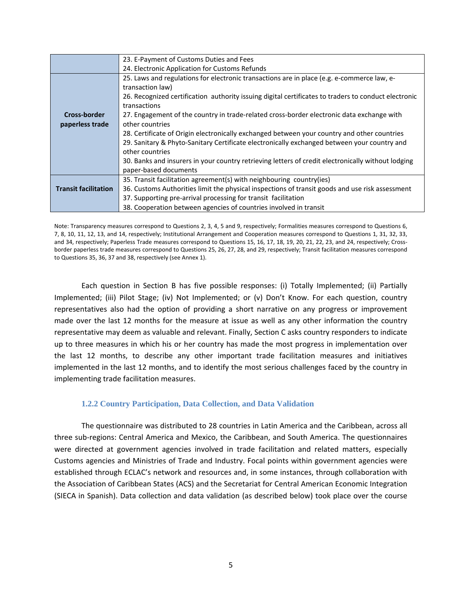|                             | 23. E-Payment of Customs Duties and Fees                                                             |  |  |  |  |  |  |
|-----------------------------|------------------------------------------------------------------------------------------------------|--|--|--|--|--|--|
|                             | 24. Electronic Application for Customs Refunds                                                       |  |  |  |  |  |  |
|                             | 25. Laws and regulations for electronic transactions are in place (e.g. e-commerce law, e-           |  |  |  |  |  |  |
|                             | transaction law)                                                                                     |  |  |  |  |  |  |
|                             | 26. Recognized certification authority issuing digital certificates to traders to conduct electronic |  |  |  |  |  |  |
|                             | transactions                                                                                         |  |  |  |  |  |  |
| Cross-border                | 27. Engagement of the country in trade-related cross-border electronic data exchange with            |  |  |  |  |  |  |
| paperless trade             | other countries                                                                                      |  |  |  |  |  |  |
|                             | 28. Certificate of Origin electronically exchanged between your country and other countries          |  |  |  |  |  |  |
|                             | 29. Sanitary & Phyto-Sanitary Certificate electronically exchanged between your country and          |  |  |  |  |  |  |
|                             | other countries                                                                                      |  |  |  |  |  |  |
|                             | 30. Banks and insurers in your country retrieving letters of credit electronically without lodging   |  |  |  |  |  |  |
|                             | paper-based documents                                                                                |  |  |  |  |  |  |
|                             | 35. Transit facilitation agreement(s) with neighbouring country(ies)                                 |  |  |  |  |  |  |
| <b>Transit facilitation</b> | 36. Customs Authorities limit the physical inspections of transit goods and use risk assessment      |  |  |  |  |  |  |
|                             | 37. Supporting pre-arrival processing for transit facilitation                                       |  |  |  |  |  |  |
|                             | 38. Cooperation between agencies of countries involved in transit                                    |  |  |  |  |  |  |

Note: Transparency measures correspond to Questions 2, 3, 4, 5 and 9, respectively; Formalities measures correspond to Questions 6, 7, 8, 10, 11, 12, 13, and 14, respectively; Institutional Arrangement and Cooperation measures correspond to Questions 1, 31, 32, 33, and 34, respectively; Paperless Trade measures correspond to Questions 15, 16, 17, 18, 19, 20, 21, 22, 23, and 24, respectively; Crossborder paperless trade measures correspond to Questions 25, 26, 27, 28, and 29, respectively; Transit facilitation measures correspond to Questions 35, 36, 37 and 38, respectively (see Annex 1).

Each question in Section B has five possible responses: (i) Totally Implemented; (ii) Partially Implemented; (iii) Pilot Stage; (iv) Not Implemented; or (v) Don't Know. For each question, country representatives also had the option of providing a short narrative on any progress or improvement made over the last 12 months for the measure at issue as well as any other information the country representative may deem as valuable and relevant. Finally, Section C asks country responders to indicate up to three measures in which his or her country has made the most progress in implementation over the last 12 months, to describe any other important trade facilitation measures and initiatives implemented in the last 12 months, and to identify the most serious challenges faced by the country in implementing trade facilitation measures.

#### **1.2.2 Country Participation, Data Collection, and Data Validation**

The questionnaire was distributed to 28 countries in Latin America and the Caribbean, across all three sub‐regions: Central America and Mexico, the Caribbean, and South America. The questionnaires were directed at government agencies involved in trade facilitation and related matters, especially Customs agencies and Ministries of Trade and Industry. Focal points within government agencies were established through ECLAC's network and resources and, in some instances, through collaboration with the Association of Caribbean States (ACS) and the Secretariat for Central American Economic Integration (SIECA in Spanish). Data collection and data validation (as described below) took place over the course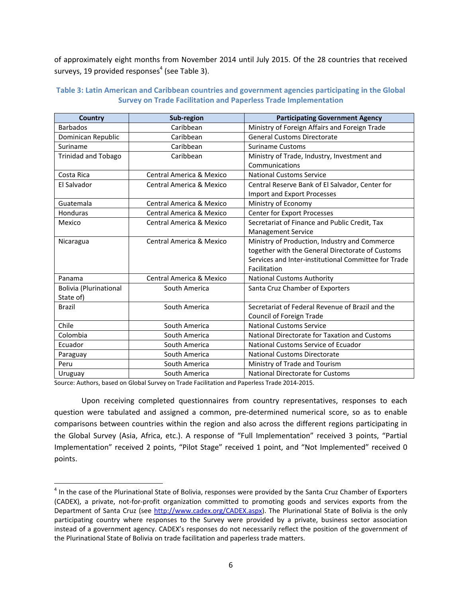of approximately eight months from November 2014 until July 2015. Of the 28 countries that received surveys, 19 provided responses<sup>4</sup> (see Table 3).

| Country                       | Sub-region               | <b>Participating Government Agency</b>               |
|-------------------------------|--------------------------|------------------------------------------------------|
| <b>Barbados</b>               | Caribbean                | Ministry of Foreign Affairs and Foreign Trade        |
| Dominican Republic            | Caribbean                | <b>General Customs Directorate</b>                   |
| Suriname                      | Caribbean                | <b>Suriname Customs</b>                              |
| <b>Trinidad and Tobago</b>    | Caribbean                | Ministry of Trade, Industry, Investment and          |
|                               |                          | Communications                                       |
| Costa Rica                    | Central America & Mexico | <b>National Customs Service</b>                      |
| El Salvador                   | Central America & Mexico | Central Reserve Bank of El Salvador, Center for      |
|                               |                          | <b>Import and Export Processes</b>                   |
| Guatemala                     | Central America & Mexico | Ministry of Economy                                  |
| <b>Honduras</b>               | Central America & Mexico | <b>Center for Export Processes</b>                   |
| Mexico                        | Central America & Mexico | Secretariat of Finance and Public Credit, Tax        |
|                               |                          | <b>Management Service</b>                            |
| Nicaragua                     | Central America & Mexico | Ministry of Production, Industry and Commerce        |
|                               |                          | together with the General Directorate of Customs     |
|                               |                          | Services and Inter-institutional Committee for Trade |
|                               |                          | Facilitation                                         |
| Panama                        | Central America & Mexico | <b>National Customs Authority</b>                    |
| <b>Bolivia (Plurinational</b> | South America            | Santa Cruz Chamber of Exporters                      |
| State of)                     |                          |                                                      |
| <b>Brazil</b>                 | South America            | Secretariat of Federal Revenue of Brazil and the     |
|                               |                          | Council of Foreign Trade                             |
| Chile                         | South America            | <b>National Customs Service</b>                      |
| Colombia                      | South America            | National Directorate for Taxation and Customs        |
| Ecuador                       | South America            | National Customs Service of Ecuador                  |
| Paraguay                      | South America            | <b>National Customs Directorate</b>                  |
| Peru                          | South America            | Ministry of Trade and Tourism                        |
| Uruguay                       | South America            | National Directorate for Customs                     |

#### **Table 3: Latin American and Caribbean countries and government agencies participating in the Global Survey on Trade Facilitation and Paperless Trade Implementation**

Source: Authors, based on Global Survey on Trade Facilitation and Paperless Trade 2014‐2015.

Upon receiving completed questionnaires from country representatives, responses to each question were tabulated and assigned a common, pre‐determined numerical score, so as to enable comparisons between countries within the region and also across the different regions participating in the Global Survey (Asia, Africa, etc.). A response of "Full Implementation" received 3 points, "Partial Implementation" received 2 points, "Pilot Stage" received 1 point, and "Not Implemented" received 0 points.

 $4$  In the case of the Plurinational State of Bolivia, responses were provided by the Santa Cruz Chamber of Exporters (CADEX), a private, not‐for‐profit organization committed to promoting goods and services exports from the Department of Santa Cruz (see http://www.cadex.org/CADEX.aspx). The Plurinational State of Bolivia is the only participating country where responses to the Survey were provided by a private, business sector association instead of a government agency. CADEX's responses do not necessarily reflect the position of the government of the Plurinational State of Bolivia on trade facilitation and paperless trade matters.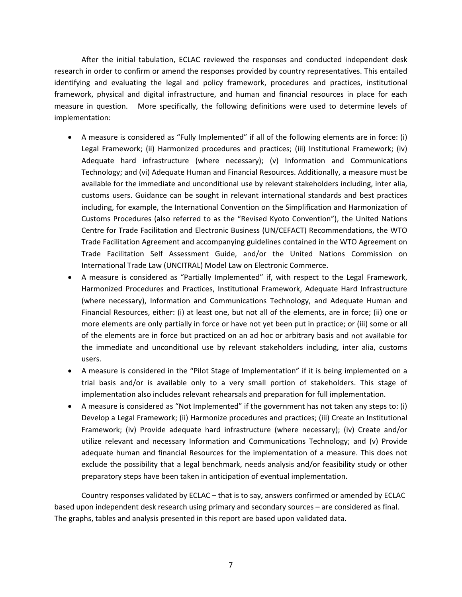After the initial tabulation, ECLAC reviewed the responses and conducted independent desk research in order to confirm or amend the responses provided by country representatives. This entailed identifying and evaluating the legal and policy framework, procedures and practices, institutional framework, physical and digital infrastructure, and human and financial resources in place for each measure in question. More specifically, the following definitions were used to determine levels of implementation:

- A measure is considered as "Fully Implemented" if all of the following elements are in force: (i) Legal Framework; (ii) Harmonized procedures and practices; (iii) Institutional Framework; (iv) Adequate hard infrastructure (where necessary); (v) Information and Communications Technology; and (vi) Adequate Human and Financial Resources. Additionally, a measure must be available for the immediate and unconditional use by relevant stakeholders including, inter alia, customs users. Guidance can be sought in relevant international standards and best practices including, for example, the International Convention on the Simplification and Harmonization of Customs Procedures (also referred to as the "Revised Kyoto Convention"), the United Nations Centre for Trade Facilitation and Electronic Business (UN/CEFACT) Recommendations, the WTO Trade Facilitation Agreement and accompanying guidelines contained in the WTO Agreement on Trade Facilitation Self Assessment Guide, and/or the United Nations Commission on International Trade Law (UNCITRAL) Model Law on Electronic Commerce.
- A measure is considered as "Partially Implemented" if, with respect to the Legal Framework, Harmonized Procedures and Practices, Institutional Framework, Adequate Hard Infrastructure (where necessary), Information and Communications Technology, and Adequate Human and Financial Resources, either: (i) at least one, but not all of the elements, are in force; (ii) one or more elements are only partially in force or have not yet been put in practice; or (iii) some or all of the elements are in force but practiced on an ad hoc or arbitrary basis and not available for the immediate and unconditional use by relevant stakeholders including, inter alia, customs users.
- A measure is considered in the "Pilot Stage of Implementation" if it is being implemented on a trial basis and/or is available only to a very small portion of stakeholders. This stage of implementation also includes relevant rehearsals and preparation for full implementation.
- A measure is considered as "Not Implemented" if the government has not taken any steps to: (i) Develop a Legal Framework; (ii) Harmonize procedures and practices; (iii) Create an Institutional Framework; (iv) Provide adequate hard infrastructure (where necessary); (iv) Create and/or utilize relevant and necessary Information and Communications Technology; and (v) Provide adequate human and financial Resources for the implementation of a measure. This does not exclude the possibility that a legal benchmark, needs analysis and/or feasibility study or other preparatory steps have been taken in anticipation of eventual implementation.

Country responses validated by ECLAC – that is to say, answers confirmed or amended by ECLAC based upon independent desk research using primary and secondary sources – are considered as final. The graphs, tables and analysis presented in this report are based upon validated data.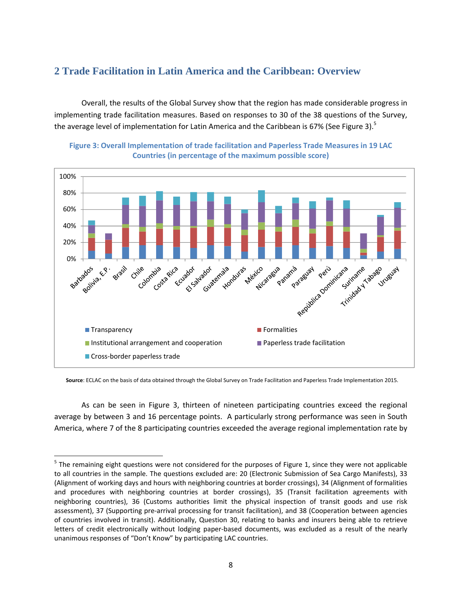## **2 Trade Facilitation in Latin America and the Caribbean: Overview**

Overall, the results of the Global Survey show that the region has made considerable progress in implementing trade facilitation measures. Based on responses to 30 of the 38 questions of the Survey, the average level of implementation for Latin America and the Caribbean is 67% (See Figure 3).<sup>5</sup>



**Figure 3: Overall Implementation of trade facilitation and Paperless Trade Measures in 19 LAC Countries (in percentage of the maximum possible score)**

 **Source**: ECLAC on the basis of data obtained through the Global Survey on Trade Facilitation and Paperless Trade Implementation 2015.

As can be seen in Figure 3, thirteen of nineteen participating countries exceed the regional average by between 3 and 16 percentage points. A particularly strong performance was seen in South America, where 7 of the 8 participating countries exceeded the average regional implementation rate by

 $5$  The remaining eight questions were not considered for the purposes of Figure 1, since they were not applicable to all countries in the sample. The questions excluded are: 20 (Electronic Submission of Sea Cargo Manifests), 33 (Alignment of working days and hours with neighboring countries at border crossings), 34 (Alignment of formalities and procedures with neighboring countries at border crossings), 35 (Transit facilitation agreements with neighboring countries), 36 (Customs authorities limit the physical inspection of transit goods and use risk assessment), 37 (Supporting pre‐arrival processing for transit facilitation), and 38 (Cooperation between agencies of countries involved in transit). Additionally, Question 30, relating to banks and insurers being able to retrieve letters of credit electronically without lodging paper‐based documents, was excluded as a result of the nearly unanimous responses of "Don't Know" by participating LAC countries.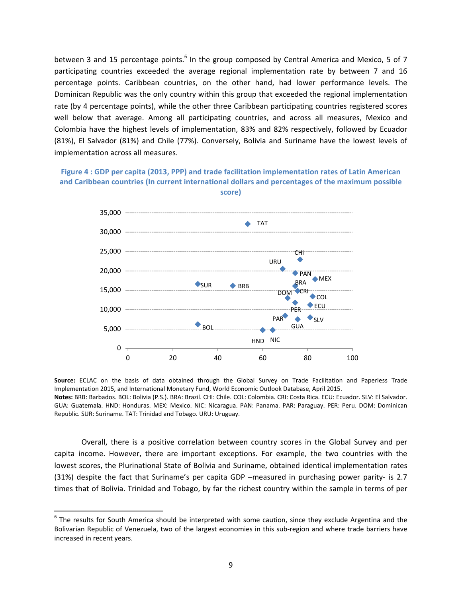between 3 and 15 percentage points.<sup>6</sup> In the group composed by Central America and Mexico, 5 of 7 participating countries exceeded the average regional implementation rate by between 7 and 16 percentage points. Caribbean countries, on the other hand, had lower performance levels. The Dominican Republic was the only country within this group that exceeded the regional implementation rate (by 4 percentage points), while the other three Caribbean participating countries registered scores well below that average. Among all participating countries, and across all measures, Mexico and Colombia have the highest levels of implementation, 83% and 82% respectively, followed by Ecuador (81%), El Salvador (81%) and Chile (77%). Conversely, Bolivia and Suriname have the lowest levels of implementation across all measures.

**Figure 4 : GDP per capita (2013, PPP) and trade facilitation implementation rates of Latin American and Caribbean countries (In current international dollars and percentages of the maximum possible score)**



**Source:** ECLAC on the basis of data obtained through the Global Survey on Trade Facilitation and Paperless Trade Implementation 2015, and International Monetary Fund, World Economic Outlook Database, April 2015. **Notes:** BRB: Barbados. BOL: Bolivia (P.S.). BRA: Brazil. CHI: Chile. COL: Colombia. CRI: Costa Rica. ECU: Ecuador. SLV: El Salvador. GUA: Guatemala. HND: Honduras. MEX: Mexico. NIC: Nicaragua. PAN: Panama. PAR: Paraguay. PER: Peru. DOM: Dominican Republic. SUR: Suriname. TAT: Trinidad and Tobago. URU: Uruguay.

Overall, there is a positive correlation between country scores in the Global Survey and per capita income. However, there are important exceptions. For example, the two countries with the lowest scores, the Plurinational State of Bolivia and Suriname, obtained identical implementation rates (31%) despite the fact that Suriname's per capita GDP –measured in purchasing power parity- is 2.7 times that of Bolivia. Trinidad and Tobago, by far the richest country within the sample in terms of per

 $6$  The results for South America should be interpreted with some caution, since they exclude Argentina and the Bolivarian Republic of Venezuela, two of the largest economies in this sub‐region and where trade barriers have increased in recent years.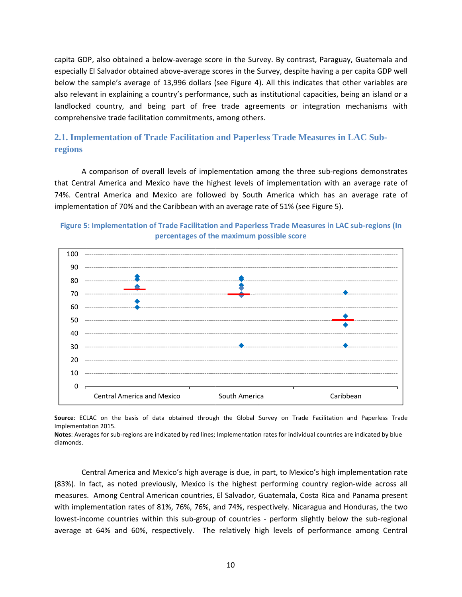capita GDP, also obtained a below-average score in the Survey. By contrast, Paraguay, Guatemala and especially El Salvador obtained above-average scores in the Survey, despite having a per capita GDP well below the sample's average of 13,996 dollars (see Figure 4). All this indicates that other variables are also relevant in explaining a country's performance, such as institutional capacities, being an island or a landlocked country, and being part of free trade agreements or integration mechanisms with comprehensive trade facilitation commitments, among others.

#### 2.1. Implementation of Trade Facilitation and Paperless Trade Measures in LAC Subregions

A comparison of overall levels of implementation among the three sub-regions demonstrates that Central America and Mexico have the highest levels of implementation with an average rate of 74%. Central America and Mexico are followed by South America which has an average rate of implementation of 70% and the Caribbean with an average rate of 51% (see Figure 5).

#### Figure 5: Implementation of Trade Facilitation and Paperless Trade Measures in LAC sub-regions (In percentages of the maximum possible score



Source: ECLAC on the basis of data obtained through the Global Survey on Trade Facilitation and Paperless Trade Implementation 2015.

Notes: Averages for sub-regions are indicated by red lines; Implementation rates for individual countries are indicated by blue diamonds

Central America and Mexico's high average is due, in part, to Mexico's high implementation rate (83%). In fact, as noted previously, Mexico is the highest performing country region-wide across all measures. Among Central American countries, El Salvador, Guatemala, Costa Rica and Panama present with implementation rates of 81%, 76%, 76%, and 74%, respectively. Nicaragua and Honduras, the two lowest-income countries within this sub-group of countries - perform slightly below the sub-regional average at 64% and 60%, respectively. The relatively high levels of performance among Central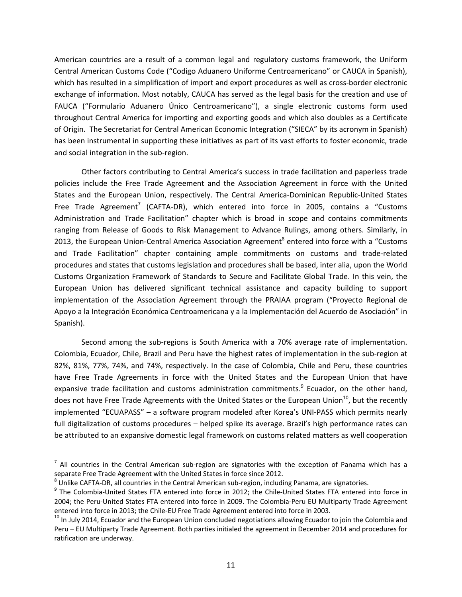American countries are a result of a common legal and regulatory customs framework, the Uniform Central American Customs Code ("Codigo Aduanero Uniforme Centroamericano" or CAUCA in Spanish), which has resulted in a simplification of import and export procedures as well as cross-border electronic exchange of information. Most notably, CAUCA has served as the legal basis for the creation and use of FAUCA ("Formulario Aduanero Único Centroamericano"), a single electronic customs form used throughout Central America for importing and exporting goods and which also doubles as a Certificate of Origin. The Secretariat for Central American Economic Integration ("SIECA" by its acronym in Spanish) has been instrumental in supporting these initiatives as part of its vast efforts to foster economic, trade and social integration in the sub‐region.

Other factors contributing to Central America's success in trade facilitation and paperless trade policies include the Free Trade Agreement and the Association Agreement in force with the United States and the European Union, respectively. The Central America-Dominican Republic-United States Free Trade Agreement<sup>7</sup> (CAFTA-DR), which entered into force in 2005, contains a "Customs Administration and Trade Facilitation" chapter which is broad in scope and contains commitments ranging from Release of Goods to Risk Management to Advance Rulings, among others. Similarly, in 2013, the European Union-Central America Association Agreement<sup>8</sup> entered into force with a "Customs" and Trade Facilitation" chapter containing ample commitments on customs and trade‐related procedures and states that customs legislation and procedures shall be based, inter alia, upon the World Customs Organization Framework of Standards to Secure and Facilitate Global Trade. In this vein, the European Union has delivered significant technical assistance and capacity building to support implementation of the Association Agreement through the PRAIAA program ("Proyecto Regional de Apoyo a la Integración Económica Centroamericana y a la Implementación del Acuerdo de Asociación" in Spanish).

Second among the sub-regions is South America with a 70% average rate of implementation. Colombia, Ecuador, Chile, Brazil and Peru have the highest rates of implementation in the sub‐region at 82%, 81%, 77%, 74%, and 74%, respectively. In the case of Colombia, Chile and Peru, these countries have Free Trade Agreements in force with the United States and the European Union that have expansive trade facilitation and customs administration commitments.<sup>9</sup> Ecuador, on the other hand, does not have Free Trade Agreements with the United States or the European Union<sup>10</sup>, but the recently implemented "ECUAPASS" – a software program modeled after Korea's UNI‐PASS which permits nearly full digitalization of customs procedures – helped spike its average. Brazil's high performance rates can be attributed to an expansive domestic legal framework on customs related matters as well cooperation

 $<sup>7</sup>$  All countries in the Central American sub-region are signatories with the exception of Panama which has a separate Free Trade Agreement with the United States in force since 2012.</sup>

 $^8$  Unlike CAFTA-DR, all countries in the Central American sub-region, including Panama, are signatories.<br><sup>9</sup> The Colombia-United States FTA entered into force in 2012; the Chile-United States FTA entered into force in 2004; the Peru‐United States FTA entered into force in 2009. The Colombia‐Peru EU Multiparty Trade Agreement entered into force in 2013; the Chile-EU Free Trade Agreement entered into force in 2003.<br><sup>10</sup> In July 2014, Ecuador and the European Union concluded negotiations allowing Ecuador to join the Colombia and

Peru – EU Multiparty Trade Agreement. Both parties initialed the agreement in December 2014 and procedures for ratification are underway.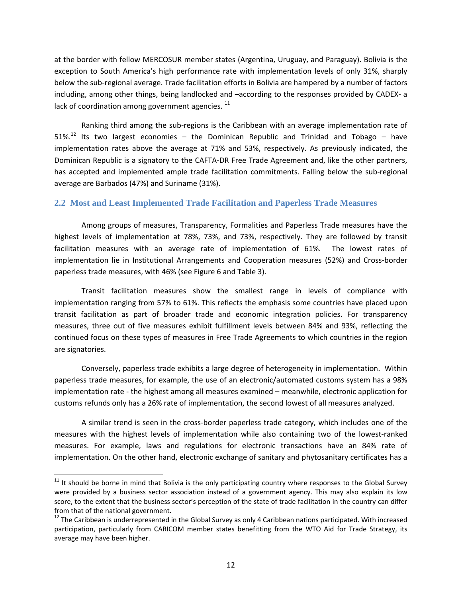at the border with fellow MERCOSUR member states (Argentina, Uruguay, and Paraguay). Bolivia is the exception to South America's high performance rate with implementation levels of only 31%, sharply below the sub-regional average. Trade facilitation efforts in Bolivia are hampered by a number of factors including, among other things, being landlocked and –according to the responses provided by CADEX‐ a lack of coordination among government agencies.<sup>11</sup>

Ranking third among the sub‐regions is the Caribbean with an average implementation rate of 51%.<sup>12</sup> Its two largest economies – the Dominican Republic and Trinidad and Tobago – have implementation rates above the average at 71% and 53%, respectively. As previously indicated, the Dominican Republic is a signatory to the CAFTA‐DR Free Trade Agreement and, like the other partners, has accepted and implemented ample trade facilitation commitments. Falling below the sub-regional average are Barbados (47%) and Suriname (31%).

#### **2.2 Most and Least Implemented Trade Facilitation and Paperless Trade Measures**

Among groups of measures, Transparency, Formalities and Paperless Trade measures have the highest levels of implementation at 78%, 73%, and 73%, respectively. They are followed by transit facilitation measures with an average rate of implementation of 61%. The lowest rates of implementation lie in Institutional Arrangements and Cooperation measures (52%) and Cross-border paperless trade measures, with 46% (see Figure 6 and Table 3).

Transit facilitation measures show the smallest range in levels of compliance with implementation ranging from 57% to 61%. This reflects the emphasis some countries have placed upon transit facilitation as part of broader trade and economic integration policies. For transparency measures, three out of five measures exhibit fulfillment levels between 84% and 93%, reflecting the continued focus on these types of measures in Free Trade Agreements to which countries in the region are signatories.

Conversely, paperless trade exhibits a large degree of heterogeneity in implementation. Within paperless trade measures, for example, the use of an electronic/automated customs system has a 98% implementation rate ‐ the highest among all measures examined – meanwhile, electronic application for customs refunds only has a 26% rate of implementation, the second lowest of all measures analyzed.

A similar trend is seen in the cross‐border paperless trade category, which includes one of the measures with the highest levels of implementation while also containing two of the lowest-ranked measures. For example, laws and regulations for electronic transactions have an 84% rate of implementation. On the other hand, electronic exchange of sanitary and phytosanitary certificates has a

 $11$  It should be borne in mind that Bolivia is the only participating country where responses to the Global Survey were provided by a business sector association instead of a government agency. This may also explain its low score, to the extent that the business sector's perception of the state of trade facilitation in the country can differ

from that of the national government.<br><sup>12</sup> The Caribbean is underrepresented in the Global Survey as only 4 Caribbean nations participated. With increased participation, particularly from CARICOM member states benefitting from the WTO Aid for Trade Strategy, its average may have been higher.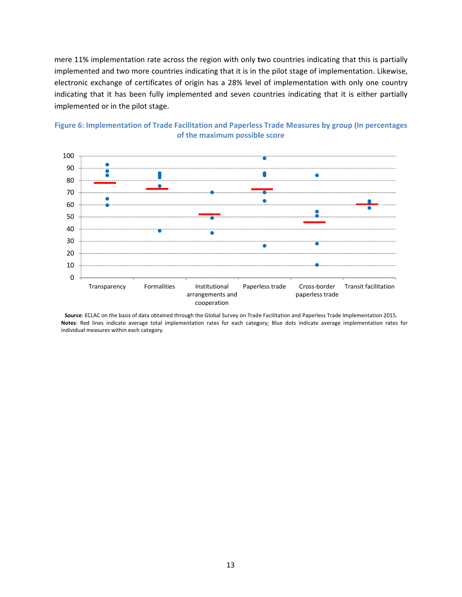mere 11% implementation rate across the region with only two countries indicating that this is partially implemented and two more countries indicating that it is in the pilot stage of implementation. Likewise, electronic exchange of certificates of origin has a 28% level of implementation with only one country indicating that it has been fully implemented and seven countries indicating that it is either partially implemented or in the pilot stage.





Source: ECLAC on the basis of data obtained through the Global Survey on Trade Facilitation and Paperless Trade Implementation 2015. Notes: Red lines indicate average total implementation rates for each category; Blue dots indicate average implementation rates for individual measures within each category.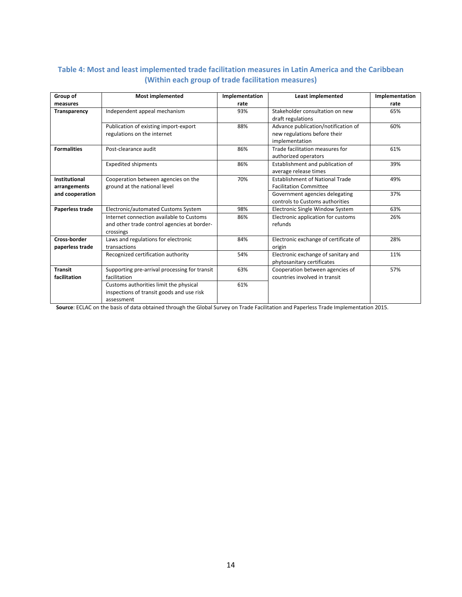#### **Table 4: Most and least implemented trade facilitation measures in Latin America and the Caribbean (Within each group of trade facilitation measures)**

| Group of            | <b>Most implemented</b>                       | Implementation | <b>Least implemented</b>               | Implementation |
|---------------------|-----------------------------------------------|----------------|----------------------------------------|----------------|
| measures            |                                               | rate           |                                        | rate           |
| <b>Transparency</b> | Independent appeal mechanism                  | 93%            | Stakeholder consultation on new        | 65%            |
|                     |                                               |                | draft regulations                      |                |
|                     | Publication of existing import-export         | 88%            | Advance publication/notification of    | 60%            |
|                     | regulations on the internet                   |                | new regulations before their           |                |
|                     |                                               |                | implementation                         |                |
| <b>Formalities</b>  | Post-clearance audit                          | 86%            | Trade facilitation measures for        | 61%            |
|                     |                                               |                | authorized operators                   |                |
|                     | <b>Expedited shipments</b>                    | 86%            | Establishment and publication of       | 39%            |
|                     |                                               |                | average release times                  |                |
| Institutional       | Cooperation between agencies on the           | 70%            | <b>Establishment of National Trade</b> | 49%            |
| arrangements        | ground at the national level                  |                | <b>Facilitation Committee</b>          |                |
| and cooperation     |                                               |                | Government agencies delegating         | 37%            |
|                     |                                               |                | controls to Customs authorities        |                |
| Paperless trade     | Electronic/automated Customs System           | 98%            | Electronic Single Window System        | 63%            |
|                     | Internet connection available to Customs      | 86%            | Electronic application for customs     | 26%            |
|                     | and other trade control agencies at border-   |                | refunds                                |                |
|                     | crossings                                     |                |                                        |                |
| Cross-border        | Laws and regulations for electronic           | 84%            | Electronic exchange of certificate of  | 28%            |
| paperless trade     | transactions                                  |                | origin                                 |                |
|                     | Recognized certification authority            | 54%            | Electronic exchange of sanitary and    | 11%            |
|                     |                                               |                | phytosanitary certificates             |                |
| <b>Transit</b>      | Supporting pre-arrival processing for transit | 63%            | Cooperation between agencies of        | 57%            |
| facilitation        | facilitation                                  |                | countries involved in transit          |                |
|                     | Customs authorities limit the physical        | 61%            |                                        |                |
|                     | inspections of transit goods and use risk     |                |                                        |                |
|                     | assessment                                    |                |                                        |                |

**Source**: ECLAC on the basis of data obtained through the Global Survey on Trade Facilitation and Paperless Trade Implementation 2015.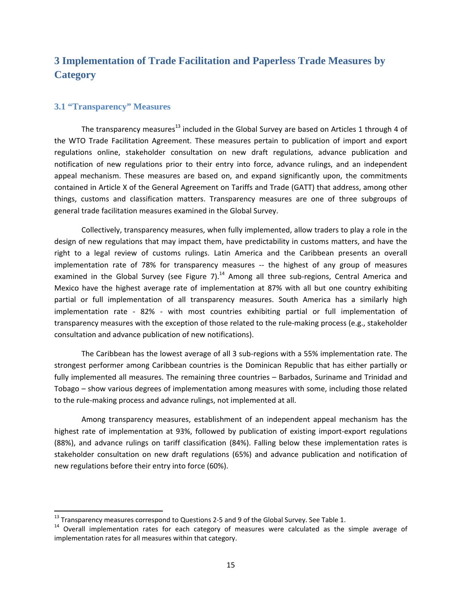## **3 Implementation of Trade Facilitation and Paperless Trade Measures by Category**

#### **3.1 "Transparency" Measures**

The transparency measures<sup>13</sup> included in the Global Survey are based on Articles 1 through 4 of the WTO Trade Facilitation Agreement. These measures pertain to publication of import and export regulations online, stakeholder consultation on new draft regulations, advance publication and notification of new regulations prior to their entry into force, advance rulings, and an independent appeal mechanism. These measures are based on, and expand significantly upon, the commitments contained in Article X of the General Agreement on Tariffs and Trade (GATT) that address, among other things, customs and classification matters. Transparency measures are one of three subgroups of general trade facilitation measures examined in the Global Survey.

Collectively, transparency measures, when fully implemented, allow traders to play a role in the design of new regulations that may impact them, have predictability in customs matters, and have the right to a legal review of customs rulings. Latin America and the Caribbean presents an overall implementation rate of 78% for transparency measures -- the highest of any group of measures examined in the Global Survey (see Figure 7).<sup>14</sup> Among all three sub-regions, Central America and Mexico have the highest average rate of implementation at 87% with all but one country exhibiting partial or full implementation of all transparency measures. South America has a similarly high implementation rate - 82% - with most countries exhibiting partial or full implementation of transparency measures with the exception of those related to the rule‐making process (e.g., stakeholder consultation and advance publication of new notifications).

The Caribbean has the lowest average of all 3 sub‐regions with a 55% implementation rate. The strongest performer among Caribbean countries is the Dominican Republic that has either partially or fully implemented all measures. The remaining three countries - Barbados, Suriname and Trinidad and Tobago – show various degrees of implementation among measures with some, including those related to the rule‐making process and advance rulings, not implemented at all.

Among transparency measures, establishment of an independent appeal mechanism has the highest rate of implementation at 93%, followed by publication of existing import-export regulations (88%), and advance rulings on tariff classification (84%). Falling below these implementation rates is stakeholder consultation on new draft regulations (65%) and advance publication and notification of new regulations before their entry into force (60%).

<sup>&</sup>lt;sup>13</sup> Transparency measures correspond to Questions 2-5 and 9 of the Global Survey. See Table 1.

 $14$  Overall implementation rates for each category of measures were calculated as the simple average of implementation rates for all measures within that category.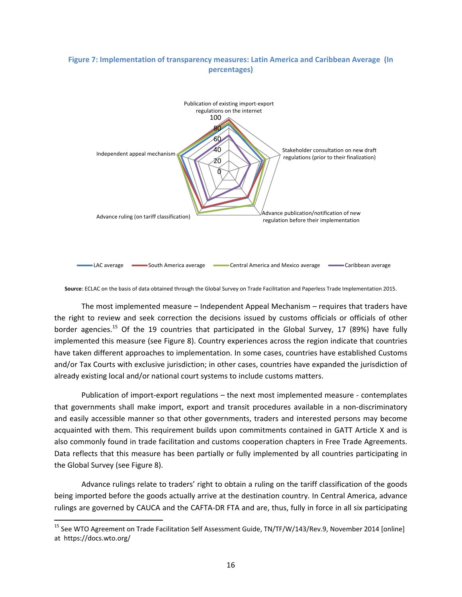#### **Figure 7: Implementation of transparency measures: Latin America and Caribbean Average (In percentages)**



**Source**: ECLAC on the basis of data obtained through the Global Survey on Trade Facilitation and Paperless Trade Implementation 2015.

The most implemented measure – Independent Appeal Mechanism – requires that traders have the right to review and seek correction the decisions issued by customs officials or officials of other border agencies.<sup>15</sup> Of the 19 countries that participated in the Global Survey, 17 (89%) have fully implemented this measure (see Figure 8). Country experiences across the region indicate that countries have taken different approaches to implementation. In some cases, countries have established Customs and/or Tax Courts with exclusive jurisdiction; in other cases, countries have expanded the jurisdiction of already existing local and/or national court systems to include customs matters.

Publication of import‐export regulations – the next most implemented measure ‐ contemplates that governments shall make import, export and transit procedures available in a non‐discriminatory and easily accessible manner so that other governments, traders and interested persons may become acquainted with them. This requirement builds upon commitments contained in GATT Article X and is also commonly found in trade facilitation and customs cooperation chapters in Free Trade Agreements. Data reflects that this measure has been partially or fully implemented by all countries participating in the Global Survey (see Figure 8).

Advance rulings relate to traders' right to obtain a ruling on the tariff classification of the goods being imported before the goods actually arrive at the destination country. In Central America, advance rulings are governed by CAUCA and the CAFTA‐DR FTA and are, thus, fully in force in all six participating

<sup>&</sup>lt;sup>15</sup> See WTO Agreement on Trade Facilitation Self Assessment Guide, TN/TF/W/143/Rev.9, November 2014 [online] at https://docs.wto.org/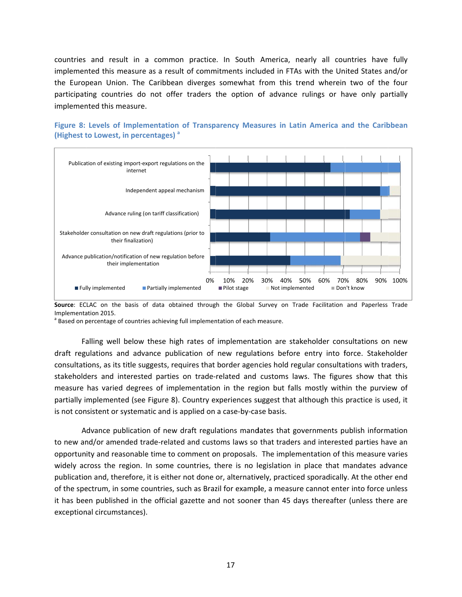countries and result in a common practice. In South America, nearly all countries have fully implemented this measure as a result of commitments included in FTAs with the United States and/or the European Union. The Caribbean diverges somewhat from this trend wherein two of the four participating countries do not offer traders the option of advance rulings or have only partially implemented this measure.





Source: ECLAC on the basis of data obtained through the Global Survey on Trade Facilitation and Paperless Trade Implementation 2015.

<sup>a</sup> Based on percentage of countries achieving full implementation of each measure.

Falling well below these high rates of implementation are stakeholder consultations on new draft regulations and advance publication of new regulations before entry into force. Stakeholder consultations, as its title suggests, requires that border agencies hold regular consultations with traders, stakeholders and interested parties on trade-related and customs laws. The figures show that this measure has varied degrees of implementation in the region but falls mostly within the purview of partially implemented (see Figure 8). Country experiences suggest that although this practice is used, it is not consistent or systematic and is applied on a case-by-case basis.

Advance publication of new draft regulations mandates that governments publish information to new and/or amended trade-related and customs laws so that traders and interested parties have an opportunity and reasonable time to comment on proposals. The implementation of this measure varies widely across the region. In some countries, there is no legislation in place that mandates advance publication and, therefore, it is either not done or, alternatively, practiced sporadically. At the other end of the spectrum, in some countries, such as Brazil for example, a measure cannot enter into force unless it has been published in the official gazette and not sooner than 45 days thereafter (unless there are exceptional circumstances).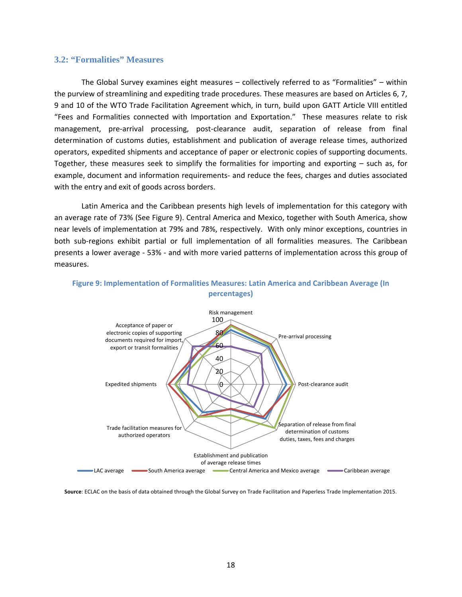#### **3.2: "Formalities" Measures**

The Global Survey examines eight measures – collectively referred to as "Formalities" – within the purview of streamlining and expediting trade procedures. These measures are based on Articles 6, 7, 9 and 10 of the WTO Trade Facilitation Agreement which, in turn, build upon GATT Article VIII entitled "Fees and Formalities connected with Importation and Exportation." These measures relate to risk management, pre-arrival processing, post-clearance audit, separation of release from final determination of customs duties, establishment and publication of average release times, authorized operators, expedited shipments and acceptance of paper or electronic copies of supporting documents. Together, these measures seek to simplify the formalities for importing and exporting – such as, for example, document and information requirements- and reduce the fees, charges and duties associated with the entry and exit of goods across borders.

Latin America and the Caribbean presents high levels of implementation for this category with an average rate of 73% (See Figure 9). Central America and Mexico, together with South America, show near levels of implementation at 79% and 78%, respectively. With only minor exceptions, countries in both sub-regions exhibit partial or full implementation of all formalities measures. The Caribbean presents a lower average ‐ 53% ‐ and with more varied patterns of implementation across this group of measures.





**Source**: ECLAC on the basis of data obtained through the Global Survey on Trade Facilitation and Paperless Trade Implementation 2015.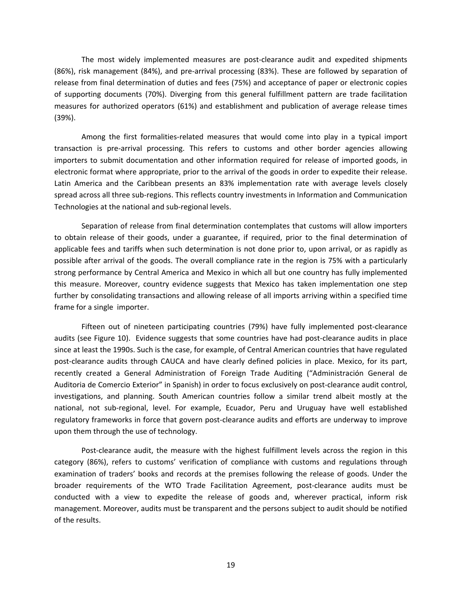The most widely implemented measures are post‐clearance audit and expedited shipments (86%), risk management (84%), and pre‐arrival processing (83%). These are followed by separation of release from final determination of duties and fees (75%) and acceptance of paper or electronic copies of supporting documents (70%). Diverging from this general fulfillment pattern are trade facilitation measures for authorized operators (61%) and establishment and publication of average release times (39%).

Among the first formalities-related measures that would come into play in a typical import transaction is pre‐arrival processing. This refers to customs and other border agencies allowing importers to submit documentation and other information required for release of imported goods, in electronic format where appropriate, prior to the arrival of the goods in order to expedite their release. Latin America and the Caribbean presents an 83% implementation rate with average levels closely spread across all three sub-regions. This reflects country investments in Information and Communication Technologies at the national and sub‐regional levels.

Separation of release from final determination contemplates that customs will allow importers to obtain release of their goods, under a guarantee, if required, prior to the final determination of applicable fees and tariffs when such determination is not done prior to, upon arrival, or as rapidly as possible after arrival of the goods. The overall compliance rate in the region is 75% with a particularly strong performance by Central America and Mexico in which all but one country has fully implemented this measure. Moreover, country evidence suggests that Mexico has taken implementation one step further by consolidating transactions and allowing release of all imports arriving within a specified time frame for a single importer.

Fifteen out of nineteen participating countries (79%) have fully implemented post-clearance audits (see Figure 10). Evidence suggests that some countries have had post‐clearance audits in place since at least the 1990s. Such is the case, for example, of Central American countries that have regulated post-clearance audits through CAUCA and have clearly defined policies in place. Mexico, for its part, recently created a General Administration of Foreign Trade Auditing ("Administración General de Auditoria de Comercio Exterior" in Spanish) in order to focus exclusively on post‐clearance audit control, investigations, and planning. South American countries follow a similar trend albeit mostly at the national, not sub-regional, level. For example, Ecuador, Peru and Uruguay have well established regulatory frameworks in force that govern post-clearance audits and efforts are underway to improve upon them through the use of technology.

Post-clearance audit, the measure with the highest fulfillment levels across the region in this category (86%), refers to customs' verification of compliance with customs and regulations through examination of traders' books and records at the premises following the release of goods. Under the broader requirements of the WTO Trade Facilitation Agreement, post‐clearance audits must be conducted with a view to expedite the release of goods and, wherever practical, inform risk management. Moreover, audits must be transparent and the persons subject to audit should be notified of the results.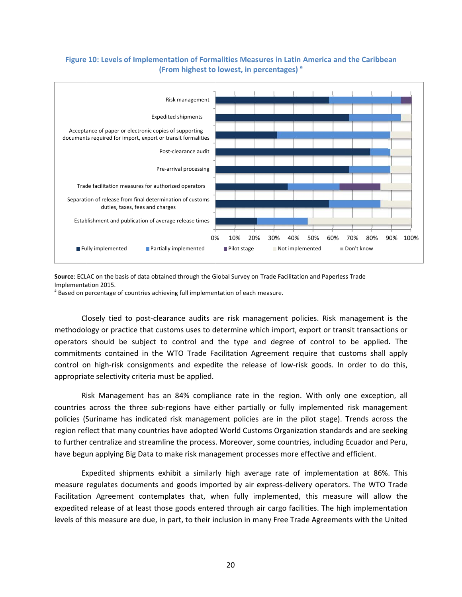#### Figure 10: Levels of Implementation of Formalities Measures in Latin America and the Caribbean (From highest to lowest, in percentages)<sup>a</sup>



Source: ECLAC on the basis of data obtained through the Global Survey on Trade Facilitation and Paperless Trade Implementation 2015.

<sup>a</sup> Based on percentage of countries achieving full implementation of each measure.

Closely tied to post-clearance audits are risk management policies. Risk management is the methodology or practice that customs uses to determine which import, export or transit transactions or operators should be subject to control and the type and degree of control to be applied. The commitments contained in the WTO Trade Facilitation Agreement require that customs shall apply control on high-risk consignments and expedite the release of low-risk goods. In order to do this, appropriate selectivity criteria must be applied.

Risk Management has an 84% compliance rate in the region. With only one exception, all countries across the three sub-regions have either partially or fully implemented risk management policies (Suriname has indicated risk management policies are in the pilot stage). Trends across the region reflect that many countries have adopted World Customs Organization standards and are seeking to further centralize and streamline the process. Moreover, some countries, including Ecuador and Peru, have begun applying Big Data to make risk management processes more effective and efficient.

Expedited shipments exhibit a similarly high average rate of implementation at 86%. This measure regulates documents and goods imported by air express-delivery operators. The WTO Trade Facilitation Agreement contemplates that, when fully implemented, this measure will allow the expedited release of at least those goods entered through air cargo facilities. The high implementation levels of this measure are due, in part, to their inclusion in many Free Trade Agreements with the United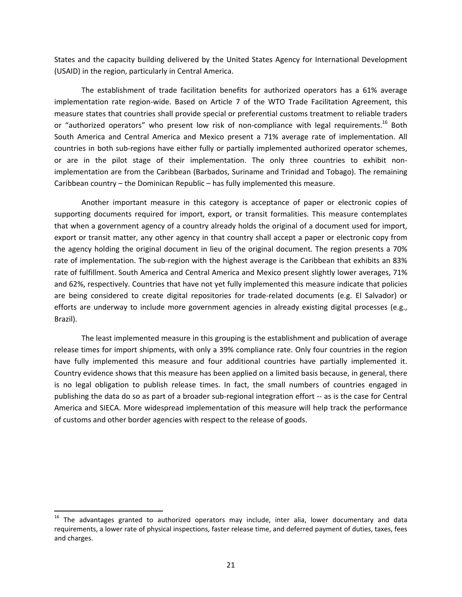States and the capacity building delivered by the United States Agency for International Development (USAID) in the region, particularly in Central America.

The establishment of trade facilitation benefits for authorized operators has a 61% average implementation rate region-wide. Based on Article 7 of the WTO Trade Facilitation Agreement, this measure states that countries shall provide special or preferential customs treatment to reliable traders or "authorized operators" who present low risk of non-compliance with legal requirements.<sup>16</sup> Both South America and Central America and Mexico present a 71% average rate of implementation. All countries in both sub-regions have either fully or partially implemented authorized operator schemes, or are in the pilot stage of their implementation. The only three countries to exhibit non‐ implementation are from the Caribbean (Barbados, Suriname and Trinidad and Tobago). The remaining Caribbean country – the Dominican Republic – has fully implemented this measure.

Another important measure in this category is acceptance of paper or electronic copies of supporting documents required for import, export, or transit formalities. This measure contemplates that when a government agency of a country already holds the original of a document used for import, export or transit matter, any other agency in that country shall accept a paper or electronic copy from the agency holding the original document in lieu of the original document. The region presents a 70% rate of implementation. The sub-region with the highest average is the Caribbean that exhibits an 83% rate of fulfillment. South America and Central America and Mexico present slightly lower averages, 71% and 62%, respectively. Countries that have not yet fully implemented this measure indicate that policies are being considered to create digital repositories for trade‐related documents (e.g. El Salvador) or efforts are underway to include more government agencies in already existing digital processes (e.g., Brazil).

The least implemented measure in this grouping is the establishment and publication of average release times for import shipments, with only a 39% compliance rate. Only four countries in the region have fully implemented this measure and four additional countries have partially implemented it. Country evidence shows that this measure has been applied on a limited basis because, in general, there is no legal obligation to publish release times. In fact, the small numbers of countries engaged in publishing the data do so as part of a broader sub‐regional integration effort ‐‐ as is the case for Central America and SIECA. More widespread implementation of this measure will help track the performance of customs and other border agencies with respect to the release of goods.

 $^{16}$  The advantages granted to authorized operators may include, inter alia, lower documentary and data requirements, a lower rate of physical inspections, faster release time, and deferred payment of duties, taxes, fees and charges.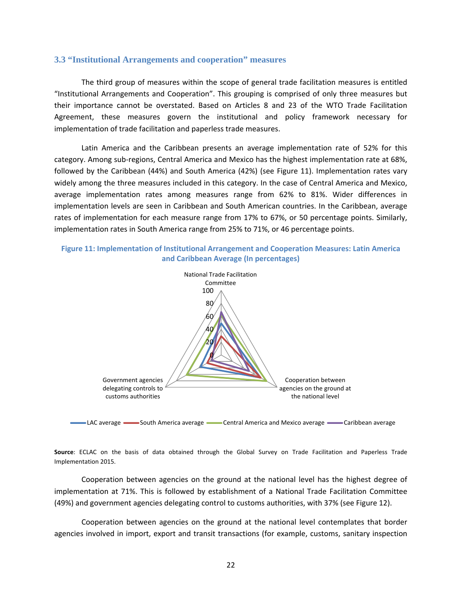#### **3.3 "Institutional Arrangements and cooperation" measures**

The third group of measures within the scope of general trade facilitation measures is entitled "Institutional Arrangements and Cooperation". This grouping is comprised of only three measures but their importance cannot be overstated. Based on Articles 8 and 23 of the WTO Trade Facilitation Agreement, these measures govern the institutional and policy framework necessary for implementation of trade facilitation and paperless trade measures.

Latin America and the Caribbean presents an average implementation rate of 52% for this category. Among sub‐regions, Central America and Mexico has the highest implementation rate at 68%, followed by the Caribbean (44%) and South America (42%) (see Figure 11). Implementation rates vary widely among the three measures included in this category. In the case of Central America and Mexico, average implementation rates among measures range from 62% to 81%. Wider differences in implementation levels are seen in Caribbean and South American countries. In the Caribbean, average rates of implementation for each measure range from 17% to 67%, or 50 percentage points. Similarly, implementation rates in South America range from 25% to 71%, or 46 percentage points.





-LAC average - South America average - Central America and Mexico average - Caribbean average

**Source**: ECLAC on the basis of data obtained through the Global Survey on Trade Facilitation and Paperless Trade Implementation 2015.

Cooperation between agencies on the ground at the national level has the highest degree of implementation at 71%. This is followed by establishment of a National Trade Facilitation Committee (49%) and government agencies delegating control to customs authorities, with 37% (see Figure 12).

Cooperation between agencies on the ground at the national level contemplates that border agencies involved in import, export and transit transactions (for example, customs, sanitary inspection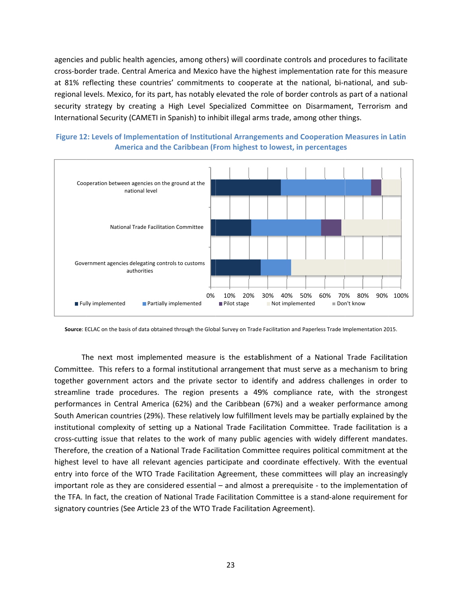agencies and public health agencies, among others) will coordinate controls and procedures to facilitate cross-border trade. Central America and Mexico have the highest implementation rate for this measure at 81% reflecting these countries' commitments to cooperate at the national, bi-national, and subregional levels. Mexico, for its part, has notably elevated the role of border controls as part of a national security strategy by creating a High Level Specialized Committee on Disarmament, Terrorism and International Security (CAMETI in Spanish) to inhibit illegal arms trade, among other things.



Figure 12: Levels of Implementation of Institutional Arrangements and Cooperation Measures in Latin America and the Caribbean (From highest to lowest, in percentages

Source: ECLAC on the basis of data obtained through the Global Survey on Trade Facilitation and Paperless Trade Implementation 2015.

The next most implemented measure is the establishment of a National Trade Facilitation Committee. This refers to a formal institutional arrangement that must serve as a mechanism to bring together government actors and the private sector to identify and address challenges in order to streamline trade procedures. The region presents a 49% compliance rate, with the strongest performances in Central America (62%) and the Caribbean (67%) and a weaker performance among South American countries (29%). These relatively low fulfillment levels may be partially explained by the institutional complexity of setting up a National Trade Facilitation Committee. Trade facilitation is a cross-cutting issue that relates to the work of many public agencies with widely different mandates. Therefore, the creation of a National Trade Facilitation Committee requires political commitment at the highest level to have all relevant agencies participate and coordinate effectively. With the eventual entry into force of the WTO Trade Facilitation Agreement, these committees will play an increasingly important role as they are considered essential - and almost a prerequisite - to the implementation of the TFA. In fact, the creation of National Trade Facilitation Committee is a stand-alone requirement for signatory countries (See Article 23 of the WTO Trade Facilitation Agreement).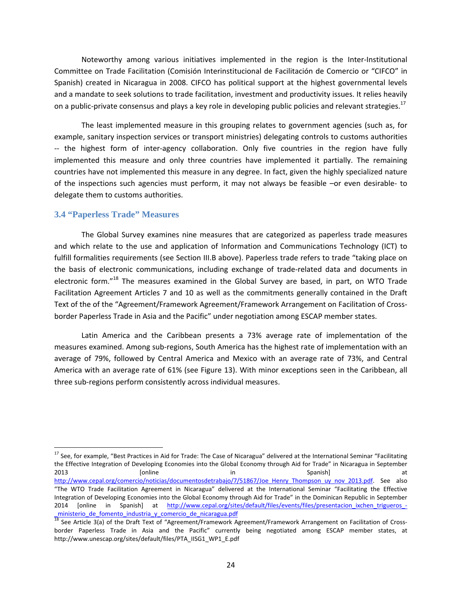Noteworthy among various initiatives implemented in the region is the Inter-Institutional Committee on Trade Facilitation (Comisión Interinstitucional de Facilitación de Comercio or "CIFCO" in Spanish) created in Nicaragua in 2008. CIFCO has political support at the highest governmental levels and a mandate to seek solutions to trade facilitation, investment and productivity issues. It relies heavily on a public-private consensus and plays a key role in developing public policies and relevant strategies.<sup>17</sup>

The least implemented measure in this grouping relates to government agencies (such as, for example, sanitary inspection services or transport ministries) delegating controls to customs authorities -- the highest form of inter-agency collaboration. Only five countries in the region have fully implemented this measure and only three countries have implemented it partially. The remaining countries have not implemented this measure in any degree. In fact, given the highly specialized nature of the inspections such agencies must perform, it may not always be feasible –or even desirable‐ to delegate them to customs authorities.

#### **3.4 "Paperless Trade" Measures**

The Global Survey examines nine measures that are categorized as paperless trade measures and which relate to the use and application of Information and Communications Technology (ICT) to fulfill formalities requirements (see Section III.B above). Paperless trade refers to trade "taking place on the basis of electronic communications, including exchange of trade‐related data and documents in electronic form."<sup>18</sup> The measures examined in the Global Survey are based, in part, on WTO Trade Facilitation Agreement Articles 7 and 10 as well as the commitments generally contained in the Draft Text of the of the "Agreement/Framework Agreement/Framework Arrangement on Facilitation of Cross‐ border Paperless Trade in Asia and the Pacific" under negotiation among ESCAP member states.

Latin America and the Caribbean presents a 73% average rate of implementation of the measures examined. Among sub‐regions, South America has the highest rate of implementation with an average of 79%, followed by Central America and Mexico with an average rate of 73%, and Central America with an average rate of 61% (see Figure 13). With minor exceptions seen in the Caribbean, all three sub‐regions perform consistently across individual measures.

<sup>&</sup>lt;sup>17</sup> See, for example, "Best Practices in Aid for Trade: The Case of Nicaragua" delivered at the International Seminar "Facilitating the Effective Integration of Developing Economies into the Global Economy through Aid for Trade" in Nicaragua in September 2013 [online in Spanish] at http://www.cepal.org/comercio/noticias/documentosdetrabajo/7/51867/Joe\_Henry\_Thompson\_uy\_nov\_2013.pdf. See also "The WTO Trade Facilitation Agreement in Nicaragua" delivered at the International Seminar "Facilitating the Effective Integration of Developing Economies into the Global Economy through Aid for Trade" in the Dominican Republic in September 2014 [online in Spanish] at http://www.cepal.org/sites/default/files/events/files/presentacion ixchen trigueros -<br>
ministerio de fomento industria y comercio de nicaragua.pdf

<sup>&</sup>lt;u>ministerio\_de\_fomento\_industria\_y\_comercio\_de\_micaragua.</u><br><sup>18</sup> See Article 3(a) of the Draft Text of "Agreement/Framework Agreement/Framework Arrangement on Facilitation of Crossborder Paperless Trade in Asia and the Pacific" currently being negotiated among ESCAP member states, at http://www.unescap.org/sites/default/files/PTA\_IISG1\_WP1\_E.pdf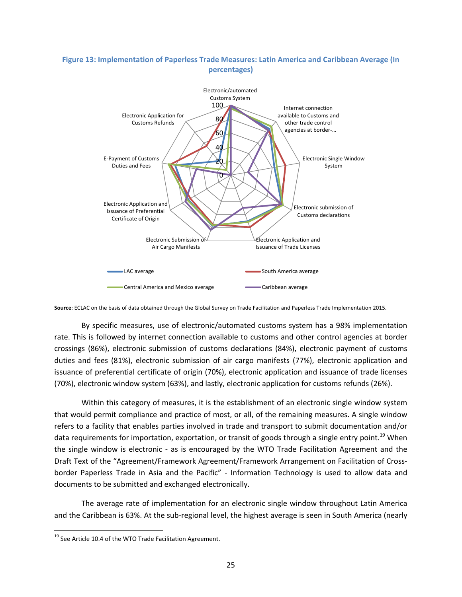#### **Figure 13: Implementation of Paperless Trade Measures: Latin America and Caribbean Average (In percentages)**



**Source**: ECLAC on the basis of data obtained through the Global Survey on Trade Facilitation and Paperless Trade Implementation 2015.

By specific measures, use of electronic/automated customs system has a 98% implementation rate. This is followed by internet connection available to customs and other control agencies at border crossings (86%), electronic submission of customs declarations (84%), electronic payment of customs duties and fees (81%), electronic submission of air cargo manifests (77%), electronic application and issuance of preferential certificate of origin (70%), electronic application and issuance of trade licenses (70%), electronic window system (63%), and lastly, electronic application for customs refunds (26%).

Within this category of measures, it is the establishment of an electronic single window system that would permit compliance and practice of most, or all, of the remaining measures. A single window refers to a facility that enables parties involved in trade and transport to submit documentation and/or data requirements for importation, exportation, or transit of goods through a single entry point.<sup>19</sup> When the single window is electronic - as is encouraged by the WTO Trade Facilitation Agreement and the Draft Text of the "Agreement/Framework Agreement/Framework Arrangement on Facilitation of Cross‐ border Paperless Trade in Asia and the Pacific" - Information Technology is used to allow data and documents to be submitted and exchanged electronically.

The average rate of implementation for an electronic single window throughout Latin America and the Caribbean is 63%. At the sub-regional level, the highest average is seen in South America (nearly

<sup>&</sup>lt;sup>19</sup> See Article 10.4 of the WTO Trade Facilitation Agreement.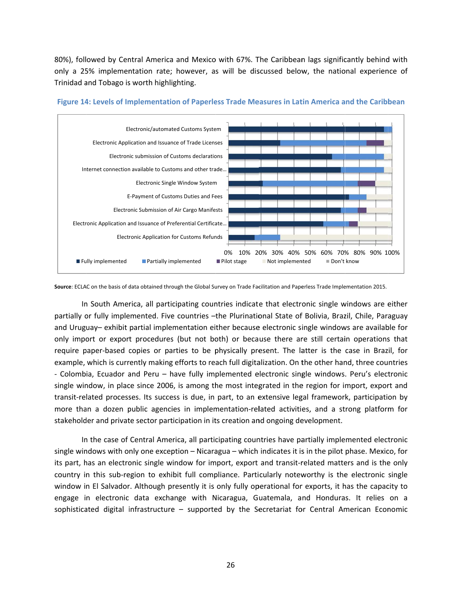80%), followed by Central America and Mexico with 67%. The Caribbean lags significantly behind with only a 25% implementation rate; however, as will be discussed below, the national experience of Trinidad and Tobago is worth highlighting.





Source: ECLAC on the basis of data obtained through the Global Survey on Trade Facilitation and Paperless Trade Implementation 2015.

In South America, all participating countries indicate that electronic single windows are either partially or fully implemented. Five countries -the Plurinational State of Bolivia, Brazil, Chile, Paraguay and Uruguay- exhibit partial implementation either because electronic single windows are available for only import or export procedures (but not both) or because there are still certain operations that require paper-based copies or parties to be physically present. The latter is the case in Brazil, for example, which is currently making efforts to reach full digitalization. On the other hand, three countries - Colombia, Ecuador and Peru - have fully implemented electronic single windows. Peru's electronic single window, in place since 2006, is among the most integrated in the region for import, export and transit-related processes. Its success is due, in part, to an extensive legal framework, participation by more than a dozen public agencies in implementation-related activities, and a strong platform for stakeholder and private sector participation in its creation and ongoing development.

In the case of Central America, all participating countries have partially implemented electronic single windows with only one exception – Nicaragua – which indicates it is in the pilot phase. Mexico, for its part, has an electronic single window for import, export and transit-related matters and is the only country in this sub-region to exhibit full compliance. Particularly noteworthy is the electronic single window in El Salvador. Although presently it is only fully operational for exports, it has the capacity to engage in electronic data exchange with Nicaragua, Guatemala, and Honduras. It relies on a sophisticated digital infrastructure - supported by the Secretariat for Central American Economic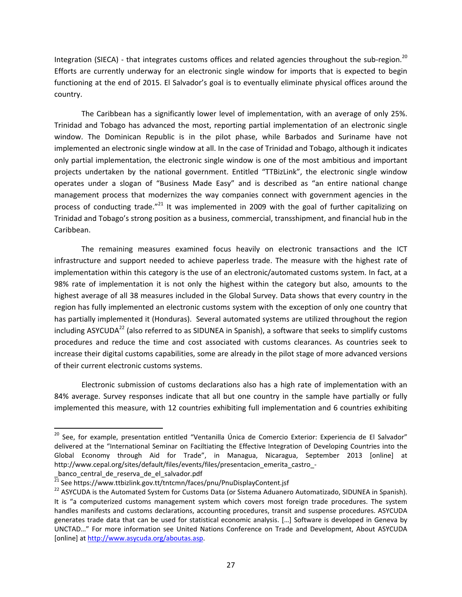Integration (SIECA) - that integrates customs offices and related agencies throughout the sub-region.<sup>20</sup> Efforts are currently underway for an electronic single window for imports that is expected to begin functioning at the end of 2015. El Salvador's goal is to eventually eliminate physical offices around the country.

The Caribbean has a significantly lower level of implementation, with an average of only 25%. Trinidad and Tobago has advanced the most, reporting partial implementation of an electronic single window. The Dominican Republic is in the pilot phase, while Barbados and Suriname have not implemented an electronic single window at all. In the case of Trinidad and Tobago, although it indicates only partial implementation, the electronic single window is one of the most ambitious and important projects undertaken by the national government. Entitled "TTBizLink", the electronic single window operates under a slogan of "Business Made Easy" and is described as "an entire national change management process that modernizes the way companies connect with government agencies in the process of conducting trade."<sup>21</sup> It was implemented in 2009 with the goal of further capitalizing on Trinidad and Tobago's strong position as a business, commercial, transshipment, and financial hub in the Caribbean.

The remaining measures examined focus heavily on electronic transactions and the ICT infrastructure and support needed to achieve paperless trade. The measure with the highest rate of implementation within this category is the use of an electronic/automated customs system. In fact, at a 98% rate of implementation it is not only the highest within the category but also, amounts to the highest average of all 38 measures included in the Global Survey. Data shows that every country in the region has fully implemented an electronic customs system with the exception of only one country that has partially implemented it (Honduras). Several automated systems are utilized throughout the region including ASYCUDA<sup>22</sup> (also referred to as SIDUNEA in Spanish), a software that seeks to simplify customs procedures and reduce the time and cost associated with customs clearances. As countries seek to increase their digital customs capabilities, some are already in the pilot stage of more advanced versions of their current electronic customs systems.

Electronic submission of customs declarations also has a high rate of implementation with an 84% average. Survey responses indicate that all but one country in the sample have partially or fully implemented this measure, with 12 countries exhibiting full implementation and 6 countries exhibiting

<sup>&</sup>lt;sup>20</sup> See, for example, presentation entitled "Ventanilla Única de Comercio Exterior: Experiencia de El Salvador" delivered at the "International Seminar on Faciltiating the Effective Integration of Developing Countries into the Global Economy through Aid for Trade", in Managua, Nicaragua, September 2013 [online] at http://www.cepal.org/sites/default/files/events/files/presentacion\_emerita\_castro\_-

 $\frac{1}{21}$  banco\_central\_de\_reserva\_de\_el\_salvador.pdf<br> $\frac{1}{21}$  See https://www.ttbizlink.gov.tt/tntcmn/faces/pnu/PnuDisplayContent.jsf

<sup>&</sup>lt;sup>22</sup> ASYCUDA is the Automated System for Customs Data (or Sistema Aduanero Automatizado, SIDUNEA in Spanish). It is "a computerized customs management system which covers most foreign trade procedures. The system handles manifests and customs declarations, accounting procedures, transit and suspense procedures. ASYCUDA generates trade data that can be used for statistical economic analysis. […] Software is developed in Geneva by UNCTAD…" For more information see United Nations Conference on Trade and Development, About ASYCUDA [online] at http://www.asycuda.org/aboutas.asp.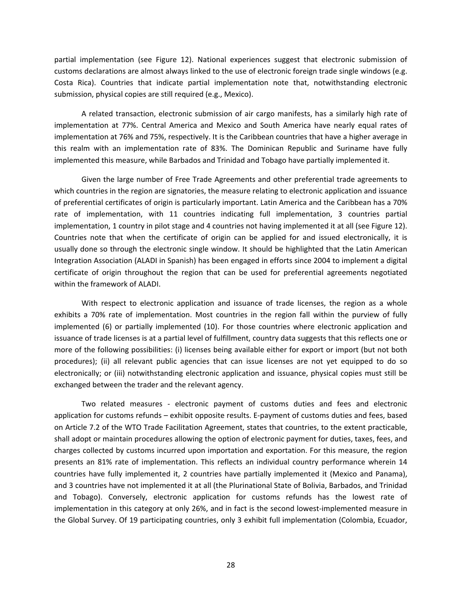partial implementation (see Figure 12). National experiences suggest that electronic submission of customs declarations are almost always linked to the use of electronic foreign trade single windows (e.g. Costa Rica). Countries that indicate partial implementation note that, notwithstanding electronic submission, physical copies are still required (e.g., Mexico).

A related transaction, electronic submission of air cargo manifests, has a similarly high rate of implementation at 77%. Central America and Mexico and South America have nearly equal rates of implementation at 76% and 75%, respectively. It is the Caribbean countries that have a higher average in this realm with an implementation rate of 83%. The Dominican Republic and Suriname have fully implemented this measure, while Barbados and Trinidad and Tobago have partially implemented it.

Given the large number of Free Trade Agreements and other preferential trade agreements to which countries in the region are signatories, the measure relating to electronic application and issuance of preferential certificates of origin is particularly important. Latin America and the Caribbean has a 70% rate of implementation, with 11 countries indicating full implementation, 3 countries partial implementation, 1 country in pilot stage and 4 countries not having implemented it at all (see Figure 12). Countries note that when the certificate of origin can be applied for and issued electronically, it is usually done so through the electronic single window. It should be highlighted that the Latin American Integration Association (ALADI in Spanish) has been engaged in efforts since 2004 to implement a digital certificate of origin throughout the region that can be used for preferential agreements negotiated within the framework of ALADI.

With respect to electronic application and issuance of trade licenses, the region as a whole exhibits a 70% rate of implementation. Most countries in the region fall within the purview of fully implemented (6) or partially implemented (10). For those countries where electronic application and issuance of trade licenses is at a partial level of fulfillment, country data suggests that this reflects one or more of the following possibilities: (i) licenses being available either for export or import (but not both procedures); (ii) all relevant public agencies that can issue licenses are not yet equipped to do so electronically; or (iii) notwithstanding electronic application and issuance, physical copies must still be exchanged between the trader and the relevant agency.

Two related measures - electronic payment of customs duties and fees and electronic application for customs refunds – exhibit opposite results. E‐payment of customs duties and fees, based on Article 7.2 of the WTO Trade Facilitation Agreement, states that countries, to the extent practicable, shall adopt or maintain procedures allowing the option of electronic payment for duties, taxes, fees, and charges collected by customs incurred upon importation and exportation. For this measure, the region presents an 81% rate of implementation. This reflects an individual country performance wherein 14 countries have fully implemented it, 2 countries have partially implemented it (Mexico and Panama), and 3 countries have not implemented it at all (the Plurinational State of Bolivia, Barbados, and Trinidad and Tobago). Conversely, electronic application for customs refunds has the lowest rate of implementation in this category at only 26%, and in fact is the second lowest-implemented measure in the Global Survey. Of 19 participating countries, only 3 exhibit full implementation (Colombia, Ecuador,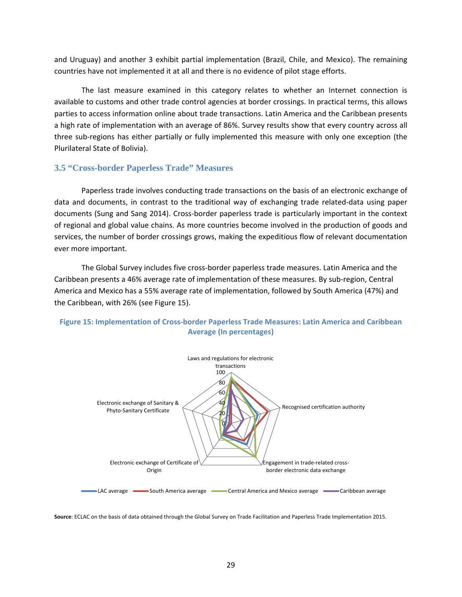and Uruguay) and another 3 exhibit partial implementation (Brazil, Chile, and Mexico). The remaining countries have not implemented it at all and there is no evidence of pilot stage efforts.

The last measure examined in this category relates to whether an Internet connection is available to customs and other trade control agencies at border crossings. In practical terms, this allows parties to access information online about trade transactions. Latin America and the Caribbean presents a high rate of implementation with an average of 86%. Survey results show that every country across all three sub-regions has either partially or fully implemented this measure with only one exception (the Plurilateral State of Bolivia).

#### **3.5 "Cross-border Paperless Trade" Measures**

Paperless trade involves conducting trade transactions on the basis of an electronic exchange of data and documents, in contrast to the traditional way of exchanging trade related‐data using paper documents (Sung and Sang 2014). Cross‐border paperless trade is particularly important in the context of regional and global value chains. As more countries become involved in the production of goods and services, the number of border crossings grows, making the expeditious flow of relevant documentation ever more important.

The Global Survey includes five cross‐border paperless trade measures. Latin America and the Caribbean presents a 46% average rate of implementation of these measures. By sub‐region, Central America and Mexico has a 55% average rate of implementation, followed by South America (47%) and the Caribbean, with 26% (see Figure 15).



#### **Figure 15: Implementation of Cross‐border Paperless Trade Measures: Latin America and Caribbean Average (In percentages)**

**Source**: ECLAC on the basis of data obtained through the Global Survey on Trade Facilitation and Paperless Trade Implementation 2015.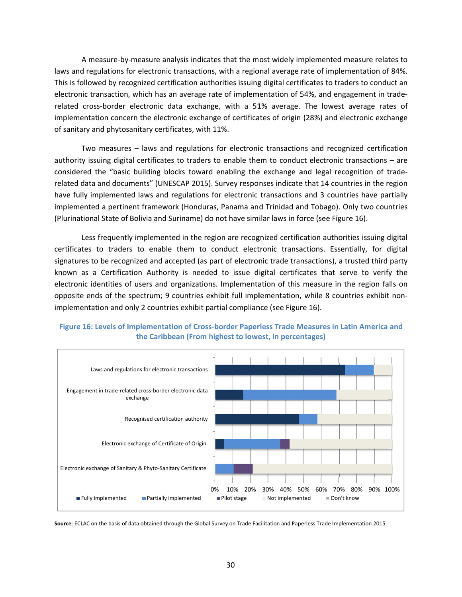A measure-by-measure analysis indicates that the most widely implemented measure relates to laws and regulations for electronic transactions, with a regional average rate of implementation of 84%. This is followed by recognized certification authorities issuing digital certificates to traders to conduct an electronic transaction, which has an average rate of implementation of 54%, and engagement in traderelated cross-border electronic data exchange, with a 51% average. The lowest average rates of implementation concern the electronic exchange of certificates of origin (28%) and electronic exchange of sanitary and phytosanitary certificates, with 11%.

Two measures – laws and regulations for electronic transactions and recognized certification authority issuing digital certificates to traders to enable them to conduct electronic transactions - are considered the "basic building blocks toward enabling the exchange and legal recognition of traderelated data and documents" (UNESCAP 2015). Survey responses indicate that 14 countries in the region have fully implemented laws and regulations for electronic transactions and 3 countries have partially implemented a pertinent framework (Honduras, Panama and Trinidad and Tobago). Only two countries (Plurinational State of Bolivia and Suriname) do not have similar laws in force (see Figure 16).

Less frequently implemented in the region are recognized certification authorities issuing digital certificates to traders to enable them to conduct electronic transactions. Essentially, for digital signatures to be recognized and accepted (as part of electronic trade transactions), a trusted third party known as a Certification Authority is needed to issue digital certificates that serve to verify the electronic identities of users and organizations. Implementation of this measure in the region falls on opposite ends of the spectrum; 9 countries exhibit full implementation, while 8 countries exhibit nonimplementation and only 2 countries exhibit partial compliance (see Figure 16).



Figure 16: Levels of Implementation of Cross-border Paperless Trade Measures in Latin America and the Caribbean (From highest to lowest, in percentages)

Source: ECLAC on the basis of data obtained through the Global Survey on Trade Facilitation and Paperless Trade Implementation 2015.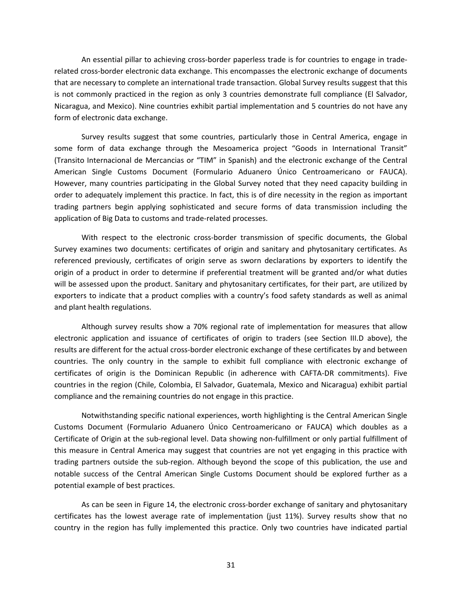An essential pillar to achieving cross‐border paperless trade is for countries to engage in trade‐ related cross‐border electronic data exchange. This encompasses the electronic exchange of documents that are necessary to complete an international trade transaction. Global Survey results suggest that this is not commonly practiced in the region as only 3 countries demonstrate full compliance (El Salvador, Nicaragua, and Mexico). Nine countries exhibit partial implementation and 5 countries do not have any form of electronic data exchange.

Survey results suggest that some countries, particularly those in Central America, engage in some form of data exchange through the Mesoamerica project "Goods in International Transit" (Transito Internacional de Mercancias or "TIM" in Spanish) and the electronic exchange of the Central American Single Customs Document (Formulario Aduanero Único Centroamericano or FAUCA). However, many countries participating in the Global Survey noted that they need capacity building in order to adequately implement this practice. In fact, this is of dire necessity in the region as important trading partners begin applying sophisticated and secure forms of data transmission including the application of Big Data to customs and trade‐related processes.

With respect to the electronic cross-border transmission of specific documents, the Global Survey examines two documents: certificates of origin and sanitary and phytosanitary certificates. As referenced previously, certificates of origin serve as sworn declarations by exporters to identify the origin of a product in order to determine if preferential treatment will be granted and/or what duties will be assessed upon the product. Sanitary and phytosanitary certificates, for their part, are utilized by exporters to indicate that a product complies with a country's food safety standards as well as animal and plant health regulations.

Although survey results show a 70% regional rate of implementation for measures that allow electronic application and issuance of certificates of origin to traders (see Section III.D above), the results are different for the actual cross-border electronic exchange of these certificates by and between countries. The only country in the sample to exhibit full compliance with electronic exchange of certificates of origin is the Dominican Republic (in adherence with CAFTA‐DR commitments). Five countries in the region (Chile, Colombia, El Salvador, Guatemala, Mexico and Nicaragua) exhibit partial compliance and the remaining countries do not engage in this practice.

Notwithstanding specific national experiences, worth highlighting is the Central American Single Customs Document (Formulario Aduanero Único Centroamericano or FAUCA) which doubles as a Certificate of Origin at the sub‐regional level. Data showing non‐fulfillment or only partial fulfillment of this measure in Central America may suggest that countries are not yet engaging in this practice with trading partners outside the sub‐region. Although beyond the scope of this publication, the use and notable success of the Central American Single Customs Document should be explored further as a potential example of best practices. 

As can be seen in Figure 14, the electronic cross-border exchange of sanitary and phytosanitary certificates has the lowest average rate of implementation (just 11%). Survey results show that no country in the region has fully implemented this practice. Only two countries have indicated partial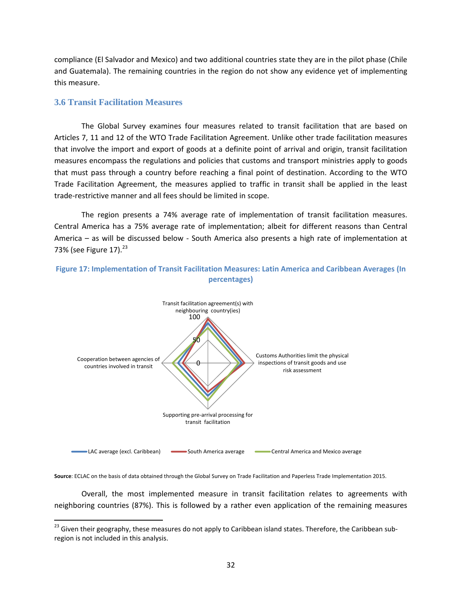compliance (El Salvador and Mexico) and two additional countries state they are in the pilot phase (Chile and Guatemala). The remaining countries in the region do not show any evidence yet of implementing this measure.

#### **3.6 Transit Facilitation Measures**

The Global Survey examines four measures related to transit facilitation that are based on Articles 7, 11 and 12 of the WTO Trade Facilitation Agreement. Unlike other trade facilitation measures that involve the import and export of goods at a definite point of arrival and origin, transit facilitation measures encompass the regulations and policies that customs and transport ministries apply to goods that must pass through a country before reaching a final point of destination. According to the WTO Trade Facilitation Agreement, the measures applied to traffic in transit shall be applied in the least trade‐restrictive manner and all fees should be limited in scope.

The region presents a 74% average rate of implementation of transit facilitation measures. Central America has a 75% average rate of implementation; albeit for different reasons than Central America – as will be discussed below - South America also presents a high rate of implementation at 73% (see Figure 17). $^{23}$ 

#### **Figure 17: Implementation of Transit Facilitation Measures: Latin America and Caribbean Averages (In percentages)**



**Source**: ECLAC on the basis of data obtained through the Global Survey on Trade Facilitation and Paperless Trade Implementation 2015.

Overall, the most implemented measure in transit facilitation relates to agreements with neighboring countries (87%). This is followed by a rather even application of the remaining measures

<sup>&</sup>lt;sup>23</sup> Given their geography, these measures do not apply to Caribbean island states. Therefore, the Caribbean subregion is not included in this analysis.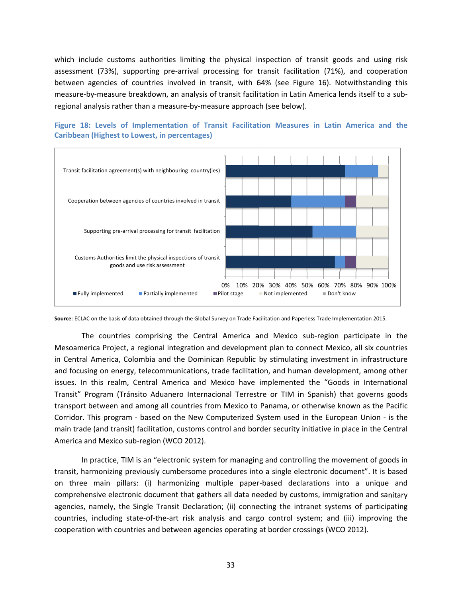which include customs authorities limiting the physical inspection of transit goods and using risk assessment (73%), supporting pre-arrival processing for transit facilitation (71%), and cooperation between agencies of countries involved in transit, with 64% (see Figure 16). Notwithstanding this measure-by-measure breakdown, an analysis of transit facilitation in Latin America lends itself to a subregional analysis rather than a measure-by-measure approach (see below).





Source: ECLAC on the basis of data obtained through the Global Survey on Trade Facilitation and Paperless Trade Implementation 2015.

The countries comprising the Central America and Mexico sub-region participate in the Mesoamerica Project, a regional integration and development plan to connect Mexico, all six countries in Central America, Colombia and the Dominican Republic by stimulating investment in infrastructure and focusing on energy, telecommunications, trade facilitation, and human development, among other issues. In this realm, Central America and Mexico have implemented the "Goods in International Transit" Program (Tránsito Aduanero Internacional Terrestre or TIM in Spanish) that governs goods transport between and among all countries from Mexico to Panama, or otherwise known as the Pacific Corridor. This program - based on the New Computerized System used in the European Union - is the main trade (and transit) facilitation, customs control and border security initiative in place in the Central America and Mexico sub-region (WCO 2012).

In practice, TIM is an "electronic system for managing and controlling the movement of goods in transit, harmonizing previously cumbersome procedures into a single electronic document". It is based on three main pillars: (i) harmonizing multiple paper-based declarations into a unique and comprehensive electronic document that gathers all data needed by customs, immigration and sanitary agencies, namely, the Single Transit Declaration; (ii) connecting the intranet systems of participating countries, including state-of-the-art risk analysis and cargo control system; and (iii) improving the cooperation with countries and between agencies operating at border crossings (WCO 2012).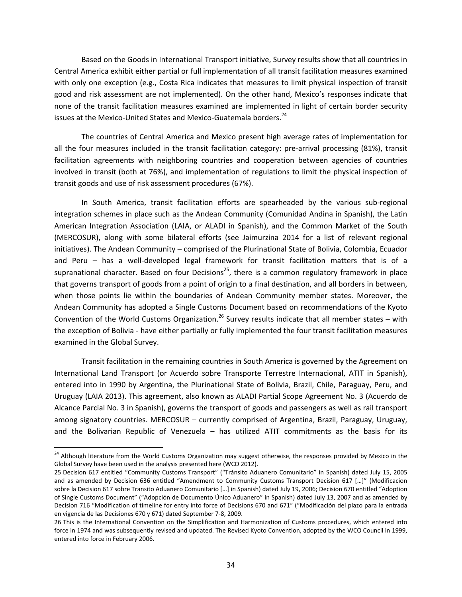Based on the Goods in International Transport initiative, Survey results show that all countries in Central America exhibit either partial or full implementation of all transit facilitation measures examined with only one exception (e.g., Costa Rica indicates that measures to limit physical inspection of transit good and risk assessment are not implemented). On the other hand, Mexico's responses indicate that none of the transit facilitation measures examined are implemented in light of certain border security issues at the Mexico-United States and Mexico-Guatemala borders.<sup>24</sup>

The countries of Central America and Mexico present high average rates of implementation for all the four measures included in the transit facilitation category: pre‐arrival processing (81%), transit facilitation agreements with neighboring countries and cooperation between agencies of countries involved in transit (both at 76%), and implementation of regulations to limit the physical inspection of transit goods and use of risk assessment procedures (67%).

In South America, transit facilitation efforts are spearheaded by the various sub‐regional integration schemes in place such as the Andean Community (Comunidad Andina in Spanish), the Latin American Integration Association (LAIA, or ALADI in Spanish), and the Common Market of the South (MERCOSUR), along with some bilateral efforts (see Jaimurzina 2014 for a list of relevant regional initiatives). The Andean Community – comprised of the Plurinational State of Bolivia, Colombia, Ecuador and Peru – has a well-developed legal framework for transit facilitation matters that is of a supranational character. Based on four Decisions<sup>25</sup>, there is a common regulatory framework in place that governs transport of goods from a point of origin to a final destination, and all borders in between, when those points lie within the boundaries of Andean Community member states. Moreover, the Andean Community has adopted a Single Customs Document based on recommendations of the Kyoto Convention of the World Customs Organization.<sup>26</sup> Survey results indicate that all member states – with the exception of Bolivia ‐ have either partially or fully implemented the four transit facilitation measures examined in the Global Survey.

Transit facilitation in the remaining countries in South America is governed by the Agreement on International Land Transport (or Acuerdo sobre Transporte Terrestre Internacional, ATIT in Spanish), entered into in 1990 by Argentina, the Plurinational State of Bolivia, Brazil, Chile, Paraguay, Peru, and Uruguay (LAIA 2013). This agreement, also known as ALADI Partial Scope Agreement No. 3 (Acuerdo de Alcance Parcial No. 3 in Spanish), governs the transport of goods and passengers as well as rail transport among signatory countries. MERCOSUR – currently comprised of Argentina, Brazil, Paraguay, Uruguay, and the Bolivarian Republic of Venezuela – has utilized ATIT commitments as the basis for its

<sup>&</sup>lt;sup>24</sup> Although literature from the World Customs Organization may suggest otherwise, the responses provided by Mexico in the Global Survey have been used in the analysis presented here (WCO 2012).

<sup>25</sup> Decision 617 entitled "Community Customs Transport" ("Tránsito Aduanero Comunitario" in Spanish) dated July 15, 2005 and as amended by Decision 636 entitled "Amendment to Community Customs Transport Decision 617 […]" (Modificacion sobre la Decision 617 sobre Transito Aduanero Comunitario […] in Spanish) dated July 19, 2006; Decision 670 entitled "Adoption of Single Customs Document" ("Adopción de Documento Único Aduanero" in Spanish) dated July 13, 2007 and as amended by Decision 716 "Modification of timeline for entry into force of Decisions 670 and 671" ("Modificación del plazo para la entrada en vigencia de las Decisiones 670 y 671) dated September 7‐8, 2009.

<sup>26</sup> This is the International Convention on the Simplification and Harmonization of Customs procedures, which entered into force in 1974 and was subsequently revised and updated. The Revised Kyoto Convention, adopted by the WCO Council in 1999, entered into force in February 2006.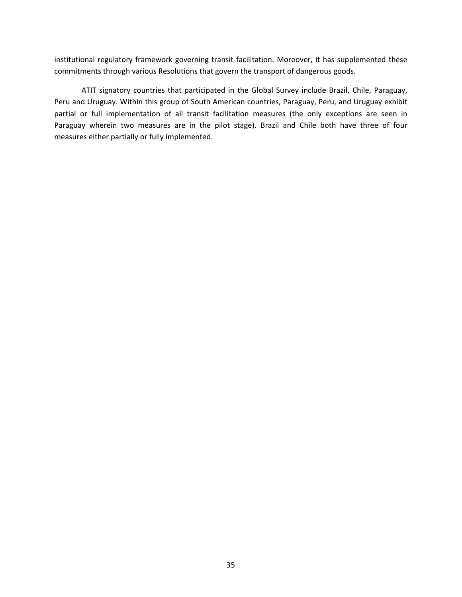institutional regulatory framework governing transit facilitation. Moreover, it has supplemented these commitments through various Resolutions that govern the transport of dangerous goods.

ATIT signatory countries that participated in the Global Survey include Brazil, Chile, Paraguay, Peru and Uruguay. Within this group of South American countries, Paraguay, Peru, and Uruguay exhibit partial or full implementation of all transit facilitation measures (the only exceptions are seen in Paraguay wherein two measures are in the pilot stage). Brazil and Chile both have three of four measures either partially or fully implemented.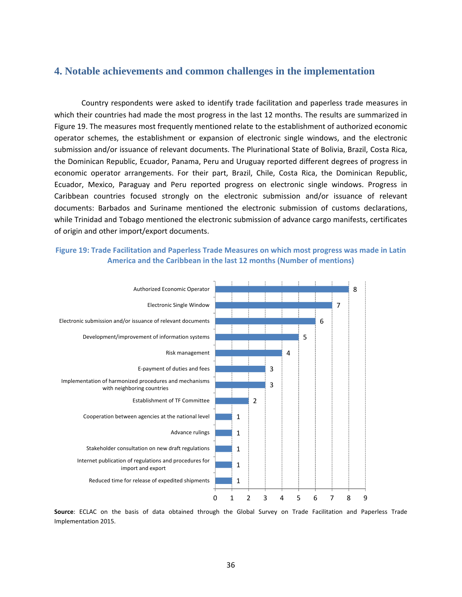#### **4. Notable achievements and common challenges in the implementation**

Country respondents were asked to identify trade facilitation and paperless trade measures in which their countries had made the most progress in the last 12 months. The results are summarized in Figure 19. The measures most frequently mentioned relate to the establishment of authorized economic operator schemes, the establishment or expansion of electronic single windows, and the electronic submission and/or issuance of relevant documents. The Plurinational State of Bolivia, Brazil, Costa Rica, the Dominican Republic, Ecuador, Panama, Peru and Uruguay reported different degrees of progress in economic operator arrangements. For their part, Brazil, Chile, Costa Rica, the Dominican Republic, Ecuador, Mexico, Paraguay and Peru reported progress on electronic single windows. Progress in Caribbean countries focused strongly on the electronic submission and/or issuance of relevant documents: Barbados and Suriname mentioned the electronic submission of customs declarations, while Trinidad and Tobago mentioned the electronic submission of advance cargo manifests, certificates of origin and other import/export documents.





**Source**: ECLAC on the basis of data obtained through the Global Survey on Trade Facilitation and Paperless Trade Implementation 2015.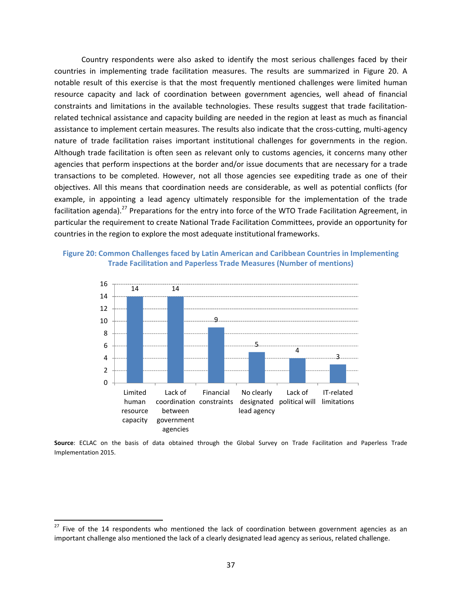Country respondents were also asked to identify the most serious challenges faced by their countries in implementing trade facilitation measures. The results are summarized in Figure 20. A notable result of this exercise is that the most frequently mentioned challenges were limited human resource capacity and lack of coordination between government agencies, well ahead of financial constraints and limitations in the available technologies. These results suggest that trade facilitationrelated technical assistance and capacity building are needed in the region at least as much as financial assistance to implement certain measures. The results also indicate that the cross-cutting, multi-agency nature of trade facilitation raises important institutional challenges for governments in the region. Although trade facilitation is often seen as relevant only to customs agencies, it concerns many other agencies that perform inspections at the border and/or issue documents that are necessary for a trade transactions to be completed. However, not all those agencies see expediting trade as one of their objectives. All this means that coordination needs are considerable, as well as potential conflicts (for example, in appointing a lead agency ultimately responsible for the implementation of the trade facilitation agenda).<sup>27</sup> Preparations for the entry into force of the WTO Trade Facilitation Agreement, in particular the requirement to create National Trade Facilitation Committees, provide an opportunity for countries in the region to explore the most adequate institutional frameworks.



#### **Figure 20: Common Challenges faced by Latin American and Caribbean Countries in Implementing Trade Facilitation and Paperless Trade Measures (Number of mentions)**

**Source**: ECLAC on the basis of data obtained through the Global Survey on Trade Facilitation and Paperless Trade Implementation 2015.

 $27$  Five of the 14 respondents who mentioned the lack of coordination between government agencies as an important challenge also mentioned the lack of a clearly designated lead agency as serious, related challenge.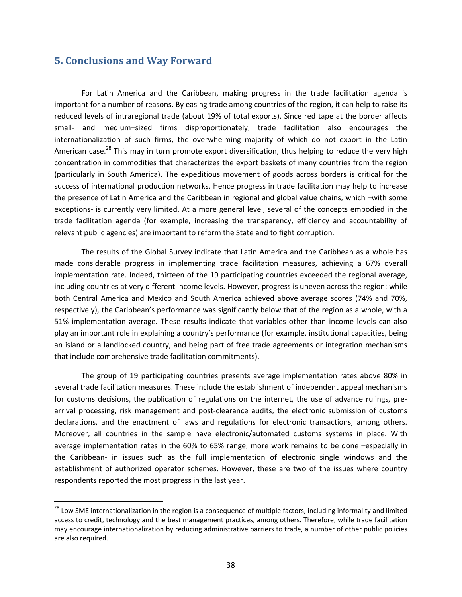#### **5. Conclusions and Way Forward**

For Latin America and the Caribbean, making progress in the trade facilitation agenda is important for a number of reasons. By easing trade among countries of the region, it can help to raise its reduced levels of intraregional trade (about 19% of total exports). Since red tape at the border affects small- and medium-sized firms disproportionately, trade facilitation also encourages the internationalization of such firms, the overwhelming majority of which do not export in the Latin American case.<sup>28</sup> This may in turn promote export diversification, thus helping to reduce the very high concentration in commodities that characterizes the export baskets of many countries from the region (particularly in South America). The expeditious movement of goods across borders is critical for the success of international production networks. Hence progress in trade facilitation may help to increase the presence of Latin America and the Caribbean in regional and global value chains, which –with some exceptions‐ is currently very limited. At a more general level, several of the concepts embodied in the trade facilitation agenda (for example, increasing the transparency, efficiency and accountability of relevant public agencies) are important to reform the State and to fight corruption.

The results of the Global Survey indicate that Latin America and the Caribbean as a whole has made considerable progress in implementing trade facilitation measures, achieving a 67% overall implementation rate. Indeed, thirteen of the 19 participating countries exceeded the regional average, including countries at very different income levels. However, progress is uneven across the region: while both Central America and Mexico and South America achieved above average scores (74% and 70%, respectively), the Caribbean's performance was significantly below that of the region as a whole, with a 51% implementation average. These results indicate that variables other than income levels can also play an important role in explaining a country's performance (for example, institutional capacities, being an island or a landlocked country, and being part of free trade agreements or integration mechanisms that include comprehensive trade facilitation commitments).

The group of 19 participating countries presents average implementation rates above 80% in several trade facilitation measures. These include the establishment of independent appeal mechanisms for customs decisions, the publication of regulations on the internet, the use of advance rulings, prearrival processing, risk management and post-clearance audits, the electronic submission of customs declarations, and the enactment of laws and regulations for electronic transactions, among others. Moreover, all countries in the sample have electronic/automated customs systems in place. With average implementation rates in the 60% to 65% range, more work remains to be done –especially in the Caribbean‐ in issues such as the full implementation of electronic single windows and the establishment of authorized operator schemes. However, these are two of the issues where country respondents reported the most progress in the last year.

<sup>&</sup>lt;sup>28</sup> Low SME internationalization in the region is a consequence of multiple factors, including informality and limited access to credit, technology and the best management practices, among others. Therefore, while trade facilitation may encourage internationalization by reducing administrative barriers to trade, a number of other public policies are also required.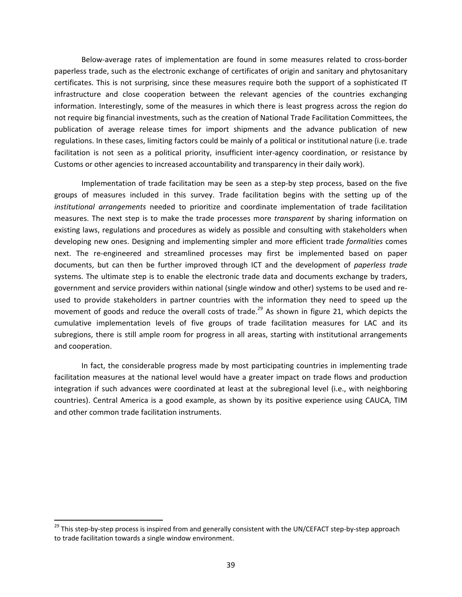Below‐average rates of implementation are found in some measures related to cross‐border paperless trade, such as the electronic exchange of certificates of origin and sanitary and phytosanitary certificates. This is not surprising, since these measures require both the support of a sophisticated IT infrastructure and close cooperation between the relevant agencies of the countries exchanging information. Interestingly, some of the measures in which there is least progress across the region do not require big financial investments, such as the creation of National Trade Facilitation Committees, the publication of average release times for import shipments and the advance publication of new regulations. In these cases, limiting factors could be mainly of a political or institutional nature (i.e. trade facilitation is not seen as a political priority, insufficient inter-agency coordination, or resistance by Customs or other agencies to increased accountability and transparency in their daily work).

Implementation of trade facilitation may be seen as a step-by step process, based on the five groups of measures included in this survey. Trade facilitation begins with the setting up of the *institutional arrangements* needed to prioritize and coordinate implementation of trade facilitation measures. The next step is to make the trade processes more *transparent* by sharing information on existing laws, regulations and procedures as widely as possible and consulting with stakeholders when developing new ones. Designing and implementing simpler and more efficient trade *formalities* comes next. The re-engineered and streamlined processes may first be implemented based on paper documents, but can then be further improved through ICT and the development of *paperless trade* systems. The ultimate step is to enable the electronic trade data and documents exchange by traders, government and service providers within national (single window and other) systems to be used and re‐ used to provide stakeholders in partner countries with the information they need to speed up the movement of goods and reduce the overall costs of trade.<sup>29</sup> As shown in figure 21, which depicts the cumulative implementation levels of five groups of trade facilitation measures for LAC and its subregions, there is still ample room for progress in all areas, starting with institutional arrangements and cooperation.

In fact, the considerable progress made by most participating countries in implementing trade facilitation measures at the national level would have a greater impact on trade flows and production integration if such advances were coordinated at least at the subregional level (i.e., with neighboring countries). Central America is a good example, as shown by its positive experience using CAUCA, TIM and other common trade facilitation instruments.

<sup>&</sup>lt;sup>29</sup> This step-by-step process is inspired from and generally consistent with the UN/CEFACT step-by-step approach to trade facilitation towards a single window environment.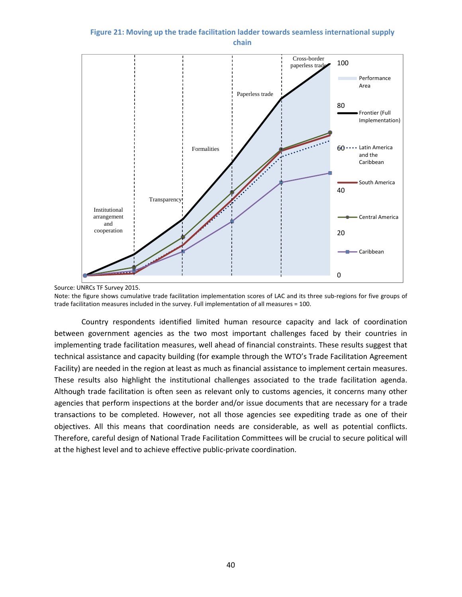#### **Figure 21: Moving up the trade facilitation ladder towards seamless international supply chain**



Source: UNRCs TF Survey 2015. Note: the figure shows cumulative trade facilitation implementation scores of LAC and its three sub‐regions for five groups of trade facilitation measures included in the survey. Full implementation of all measures = 100.

Country respondents identified limited human resource capacity and lack of coordination between government agencies as the two most important challenges faced by their countries in implementing trade facilitation measures, well ahead of financial constraints. These results suggest that technical assistance and capacity building (for example through the WTO's Trade Facilitation Agreement Facility) are needed in the region at least as much as financial assistance to implement certain measures. These results also highlight the institutional challenges associated to the trade facilitation agenda. Although trade facilitation is often seen as relevant only to customs agencies, it concerns many other agencies that perform inspections at the border and/or issue documents that are necessary for a trade transactions to be completed. However, not all those agencies see expediting trade as one of their objectives. All this means that coordination needs are considerable, as well as potential conflicts. Therefore, careful design of National Trade Facilitation Committees will be crucial to secure political will at the highest level and to achieve effective public‐private coordination.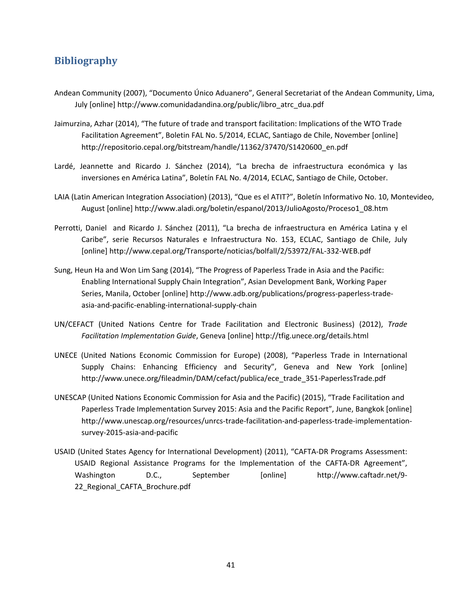## **Bibliography**

- Andean Community (2007), "Documento Único Aduanero", General Secretariat of the Andean Community, Lima, July [online] http://www.comunidadandina.org/public/libro\_atrc\_dua.pdf
- Jaimurzina, Azhar (2014), "The future of trade and transport facilitation: Implications of the WTO Trade Facilitation Agreement", Boletin FAL No. 5/2014, ECLAC, Santiago de Chile, November [online] http://repositorio.cepal.org/bitstream/handle/11362/37470/S1420600\_en.pdf
- Lardé, Jeannette and Ricardo J. Sánchez (2014), "La brecha de infraestructura económica y las inversiones en América Latina", Boletín FAL No. 4/2014, ECLAC, Santiago de Chile, October.
- LAIA (Latin American Integration Association) (2013), "Que es el ATIT?", Boletín Informativo No. 10, Montevideo, August [online] http://www.aladi.org/boletin/espanol/2013/JulioAgosto/Proceso1\_08.htm
- Perrotti, Daniel and Ricardo J. Sánchez (2011), "La brecha de infraestructura en América Latina y el Caribe", serie Recursos Naturales e Infraestructura No. 153, ECLAC, Santiago de Chile, July [online] http://www.cepal.org/Transporte/noticias/bolfall/2/53972/FAL‐332‐WEB.pdf
- Sung, Heun Ha and Won Lim Sang (2014), "The Progress of Paperless Trade in Asia and the Pacific: Enabling International Supply Chain Integration", Asian Development Bank, Working Paper Series, Manila, October [online] http://www.adb.org/publications/progress‐paperless‐trade‐ asia‐and‐pacific‐enabling‐international‐supply‐chain
- UN/CEFACT (United Nations Centre for Trade Facilitation and Electronic Business) (2012), *Trade Facilitation Implementation Guide*, Geneva [online] http://tfig.unece.org/details.html
- UNECE (United Nations Economic Commission for Europe) (2008), "Paperless Trade in International Supply Chains: Enhancing Efficiency and Security", Geneva and New York [online] http://www.unece.org/fileadmin/DAM/cefact/publica/ece\_trade\_351‐PaperlessTrade.pdf
- UNESCAP (United Nations Economic Commission for Asia and the Pacific) (2015), "Trade Facilitation and Paperless Trade Implementation Survey 2015: Asia and the Pacific Report", June, Bangkok [online] http://www.unescap.org/resources/unrcs-trade-facilitation-and-paperless-trade-implementationsurvey‐2015‐asia‐and‐pacific
- USAID (United States Agency for International Development) (2011), "CAFTA‐DR Programs Assessment: USAID Regional Assistance Programs for the Implementation of the CAFTA‐DR Agreement", Washington D.C., September [online] http://www.caftadr.net/9-22 Regional CAFTA Brochure.pdf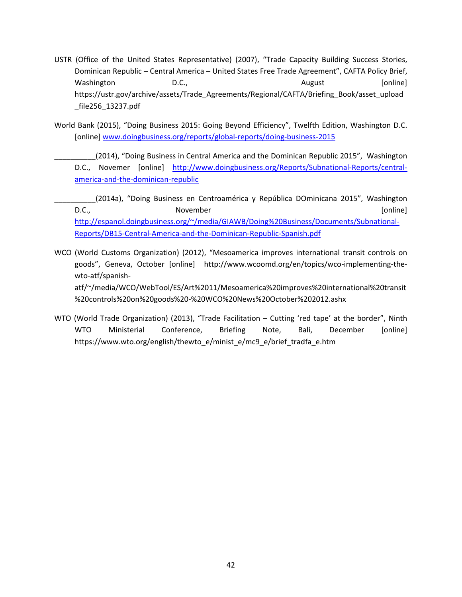- USTR (Office of the United States Representative) (2007), "Trade Capacity Building Success Stories, Dominican Republic – Central America – United States Free Trade Agreement", CAFTA Policy Brief, Washington D.C., D.C., August [online] https://ustr.gov/archive/assets/Trade\_Agreements/Regional/CAFTA/Briefing\_Book/asset\_upload \_file256\_13237.pdf
- World Bank (2015), "Doing Business 2015: Going Beyond Efficiency", Twelfth Edition, Washington D.C. [online] www.doingbusiness.org/reports/global‐reports/doing‐business‐2015

\_\_\_\_\_\_\_\_\_\_(2014), "Doing Business in Central America and the Dominican Republic 2015", Washington D.C., Novemer [online] http://www.doingbusiness.org/Reports/Subnational-Reports/centralamerica‐and‐the‐dominican‐republic

\_\_\_\_\_\_\_\_\_\_(2014a), "Doing Business en Centroamérica y República DOminicana 2015", Washington D.C., November [online] http://espanol.doingbusiness.org/~/media/GIAWB/Doing%20Business/Documents/Subnational-Reports/DB15‐Central‐America‐and‐the‐Dominican‐Republic‐Spanish.pdf

WCO (World Customs Organization) (2012), "Mesoamerica improves international transit controls on goods", Geneva, October [online] http://www.wcoomd.org/en/topics/wco-implementing-thewto‐atf/spanish‐

atf/~/media/WCO/WebTool/ES/Art%2011/Mesoamerica%20improves%20international%20transit %20controls%20on%20goods%20‐%20WCO%20News%20October%202012.ashx

WTO (World Trade Organization) (2013), "Trade Facilitation – Cutting 'red tape' at the border", Ninth WTO Ministerial Conference, Briefing Note, Bali, December [online] https://www.wto.org/english/thewto\_e/minist\_e/mc9\_e/brief\_tradfa\_e.htm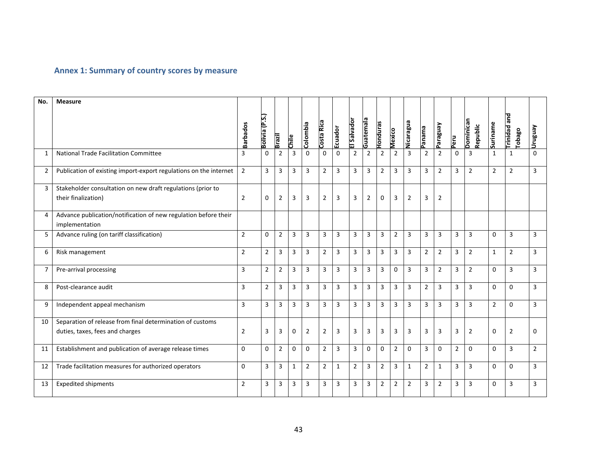#### **Annex 1: Summary of country scores by measure**

| No. | <b>Measure</b>                                                                               |                 |                |                |                |                |                |                |                |                  |                 |                |                |                |                |                |                       |                |                         |                |
|-----|----------------------------------------------------------------------------------------------|-----------------|----------------|----------------|----------------|----------------|----------------|----------------|----------------|------------------|-----------------|----------------|----------------|----------------|----------------|----------------|-----------------------|----------------|-------------------------|----------------|
|     |                                                                                              | <b>Barbados</b> | Bolivia (P.S.  | Brazil         | Chile          | Colombia       | Costa Rica     | Ecuador        | El Salvador    | <b>Guatemala</b> | <b>Tonduras</b> | <b>Mexico</b>  | Nicaragua      | Panama         | VenSeued       | Peru           | Dominican<br>Republic | Suriname       | ă<br>Trinidad<br>Tobago | VenBnun        |
| 1   | <b>National Trade Facilitation Committee</b>                                                 | 3               | $\mathbf 0$    | $\overline{2}$ | 3              | $\mathbf 0$    | $\Omega$       | $\Omega$       | $\overline{2}$ | $\overline{2}$   | $\overline{2}$  | $\overline{2}$ | $\overline{3}$ | $\overline{2}$ | $\overline{2}$ | $\Omega$       | $\overline{3}$        | $\mathbf{1}$   | $\mathbf{1}$            | $\mathbf 0$    |
| 2   | Publication of existing import-export regulations on the internet                            | $\overline{2}$  | $\overline{3}$ | 3              | 3              | 3              | $\overline{2}$ | 3              | 3              | $\overline{3}$   | $\overline{2}$  | $\overline{3}$ | 3              | 3              | $\overline{2}$ | 3              | $\overline{2}$        | $\overline{2}$ | $\overline{2}$          | 3              |
|     | Stakeholder consultation on new draft regulations (prior to<br>their finalization)           | 2               | 0              | $\overline{2}$ | 3              | 3              | $\overline{2}$ | 3              | 3              | $\overline{2}$   | 0               | 3              | $\overline{2}$ | 3              | 2              |                |                       |                |                         |                |
| 4   | Advance publication/notification of new regulation before their<br>implementation            |                 |                |                |                |                |                |                |                |                  |                 |                |                |                |                |                |                       |                |                         |                |
| 5   | Advance ruling (on tariff classification)                                                    | $\overline{2}$  | $\mathbf 0$    | $\overline{2}$ | 3              | 3              | $\overline{3}$ | $\overline{3}$ | 3              | 3                | 3               | $\overline{2}$ | $\overline{3}$ | 3              | 3              | 3              | $\overline{3}$        | $\Omega$       | 3                       | $\overline{3}$ |
| 6   | Risk management                                                                              | $\overline{2}$  | $\overline{2}$ | $\overline{3}$ | $\overline{3}$ | $\overline{3}$ | $\overline{2}$ | $\overline{3}$ | $\overline{3}$ | 3                | 3               | 3              | $\overline{3}$ | $\overline{2}$ | $\overline{2}$ | $\overline{3}$ | $\overline{2}$        | $\mathbf{1}$   | $\overline{2}$          | $\overline{3}$ |
| 7   | Pre-arrival processing                                                                       | 3               | $\overline{2}$ | $\overline{2}$ | 3              | 3              | $\overline{3}$ | 3              | 3              | 3                | 3               | $\mathbf 0$    | $\overline{3}$ | 3              | $\overline{2}$ | 3              | $\overline{2}$        | $\mathbf 0$    | $\overline{3}$          | $\overline{3}$ |
| 8   | Post-clearance audit                                                                         | 3               | $\overline{2}$ | 3              | 3              | $\overline{3}$ | $\overline{3}$ | $\overline{3}$ | $\overline{3}$ | $\overline{3}$   | $\overline{3}$  | $\overline{3}$ | $\overline{3}$ | $\overline{2}$ | 3              | 3              | $\overline{3}$        | $\Omega$       | $\Omega$                | $\overline{3}$ |
| 9   | Independent appeal mechanism                                                                 | $\overline{3}$  | 3              | 3              | 3              | 3              | $\overline{3}$ | 3              | 3              | 3                | 3               | 3              | 3              | $\overline{3}$ | 3              | 3              | 3                     | $\overline{2}$ | $\Omega$                | $\overline{3}$ |
| 10  | Separation of release from final determination of customs<br>duties, taxes, fees and charges | $\overline{2}$  | 3              | 3              | 0              | $\overline{2}$ | $\overline{2}$ | 3              | 3              | 3                | 3               | 3              | 3              | 3              | 3              | 3              | $\overline{2}$        | $\mathbf 0$    | $\overline{2}$          | 0              |
| 11  | Establishment and publication of average release times                                       | $\Omega$        | $\Omega$       | $\overline{2}$ | $\mathbf 0$    | $\Omega$       | $\overline{2}$ | $\overline{3}$ | 3              | $\Omega$         | $\mathbf 0$     | $\overline{2}$ | $\Omega$       | $\overline{3}$ | $\Omega$       | $\overline{2}$ | $\Omega$              | $\Omega$       | $\overline{3}$          | $\overline{2}$ |
| 12  | Trade facilitation measures for authorized operators                                         | $\mathbf 0$     | 3              | 3              | $\mathbf{1}$   | $\overline{2}$ | $\overline{2}$ | $\mathbf{1}$   | $\overline{2}$ | $\overline{3}$   | $2^{\circ}$     | 3              | $\mathbf{1}$   | $\overline{2}$ | $\mathbf{1}$   | 3              | $\overline{3}$        | $\mathbf 0$    | 0                       | $\overline{3}$ |
| 13  | <b>Expedited shipments</b>                                                                   | $\overline{2}$  | 3              | 3              | 3              | 3              | $\overline{3}$ | $\overline{3}$ | $\overline{3}$ | 3                | $\overline{2}$  | $\overline{2}$ | $\overline{2}$ | 3              | $\overline{2}$ | 3              | $\overline{3}$        | $\Omega$       | $\overline{3}$          | $\overline{3}$ |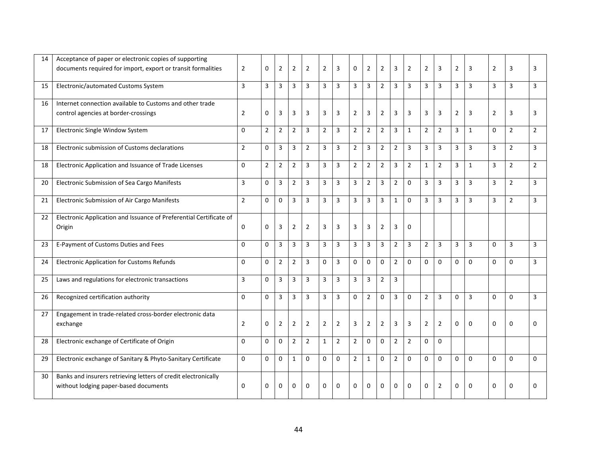| 14 | Acceptance of paper or electronic copies of supporting             |                |                |                |                |                |                |                |                |                |                |                |                |                |                |                |                |                |                |                |
|----|--------------------------------------------------------------------|----------------|----------------|----------------|----------------|----------------|----------------|----------------|----------------|----------------|----------------|----------------|----------------|----------------|----------------|----------------|----------------|----------------|----------------|----------------|
|    | documents required for import, export or transit formalities       | $\overline{2}$ | 0              | $\overline{2}$ | $\overline{2}$ | $\overline{2}$ | $\overline{2}$ | 3              | $\mathbf{0}$   | $\overline{2}$ | $\overline{2}$ | 3              | $\overline{2}$ | $\overline{2}$ | 3              | $\overline{2}$ | 3              | $\overline{2}$ | 3              | 3              |
| 15 | Electronic/automated Customs System                                | 3              | 3              | 3              | 3              | 3              | 3              | 3              | 3              | 3              | $\overline{2}$ | 3              | 3              | 3              | 3              | 3              | 3              | 3              | 3              | 3              |
| 16 | Internet connection available to Customs and other trade           |                |                |                |                |                |                |                |                |                |                |                |                |                |                |                |                |                |                |                |
|    | control agencies at border-crossings                               | $\overline{2}$ | 0              | 3              | 3              | 3              | 3              | 3              | $\overline{2}$ | 3              | $\overline{2}$ | 3              | $\overline{3}$ | $\overline{3}$ | $\overline{3}$ | $\overline{2}$ | $\overline{3}$ | $\overline{2}$ | $\overline{3}$ | 3              |
| 17 | Electronic Single Window System                                    | $\Omega$       | $\overline{2}$ | $\overline{2}$ | $\overline{2}$ | 3              | $\overline{2}$ | 3              | $\overline{2}$ | $\overline{2}$ | $\overline{2}$ | $\overline{3}$ | $\mathbf{1}$   | $\overline{2}$ | $\overline{2}$ | 3              | $\mathbf{1}$   | $\mathbf 0$    | $\overline{2}$ | $\overline{2}$ |
| 18 | Electronic submission of Customs declarations                      | $\overline{2}$ | 0              | 3              | 3              | $\overline{2}$ | 3              | 3              | $\overline{2}$ | 3              | $\overline{2}$ | $\overline{2}$ | 3              | $\overline{3}$ | 3              | 3              | $\overline{3}$ | 3              | $\overline{2}$ | $\overline{3}$ |
| 18 | Electronic Application and Issuance of Trade Licenses              | $\Omega$       | $\overline{2}$ | $\overline{2}$ | $\overline{2}$ | 3              | $\overline{3}$ | $\overline{3}$ | $\overline{2}$ | $\overline{2}$ | $\overline{2}$ | $\overline{3}$ | $\mathbf 2$    | $\mathbf{1}$   | $\mathbf 2$    | 3              | $\mathbf{1}$   | $\overline{3}$ | $\mathbf 2$    | $\overline{2}$ |
| 20 | Electronic Submission of Sea Cargo Manifests                       | 3              | 0              | 3              | $\overline{2}$ | 3              | $\overline{3}$ | $\overline{3}$ | 3              | $\mathbf 2$    | 3              | $\overline{2}$ | $\mathbf 0$    | $\overline{3}$ | $\overline{3}$ | 3              | $\overline{3}$ | $\overline{3}$ | $\overline{2}$ | $\overline{3}$ |
| 21 | Electronic Submission of Air Cargo Manifests                       | $\overline{2}$ | 0              | $\mathbf{0}$   | 3              | 3              | 3              | 3              | 3              | 3              | 3              | $\mathbf{1}$   | $\Omega$       | $\overline{3}$ | 3              | 3              | 3              | $\overline{3}$ | $\overline{2}$ | 3              |
| 22 | Electronic Application and Issuance of Preferential Certificate of |                |                |                |                |                |                |                |                |                |                |                |                |                |                |                |                |                |                |                |
|    | Origin                                                             | $\mathbf{0}$   | 0              | 3              | $\overline{2}$ | $\overline{2}$ | 3              | 3              | 3              | 3              | $\overline{2}$ | 3              | $\mathbf 0$    |                |                |                |                |                |                |                |
| 23 | E-Payment of Customs Duties and Fees                               | 0              | 0              | 3              | 3              | 3              | 3              | 3              | 3              | 3              | 3              | $\overline{2}$ | 3              | $\overline{2}$ | 3              | 3              | 3              | $\mathbf 0$    | 3              | 3              |
| 24 | <b>Electronic Application for Customs Refunds</b>                  | $\Omega$       | 0              | $\overline{2}$ | $\overline{2}$ | 3              | $\Omega$       | 3              | $\Omega$       | $\mathbf 0$    | $\Omega$       | $\overline{2}$ | $\Omega$       | $\Omega$       | $\Omega$       | $\Omega$       | $\Omega$       | $\Omega$       | $\Omega$       | $\overline{3}$ |
| 25 | Laws and regulations for electronic transactions                   | 3              | $\Omega$       | 3              | $\overline{3}$ | 3              | $\overline{3}$ | $\overline{3}$ | $\overline{3}$ | 3              | $\overline{2}$ | 3              |                |                |                |                |                |                |                |                |
| 26 | Recognized certification authority                                 | $\Omega$       | 0              | $\overline{3}$ | $\overline{3}$ | 3              | $\overline{3}$ | $\overline{3}$ | $\mathbf 0$    | $\overline{2}$ | $\mathbf{0}$   | 3              | $\mathbf 0$    | $\overline{2}$ | $\overline{3}$ | 0              | $\overline{3}$ | $\mathbf 0$    | $\Omega$       | $\overline{3}$ |
| 27 | Engagement in trade-related cross-border electronic data           |                |                |                |                |                |                |                |                |                |                |                |                |                |                |                | $\Omega$       |                | $\Omega$       |                |
|    | exchange                                                           | $\overline{2}$ | 0              | $\overline{2}$ | $\overline{2}$ | $\overline{2}$ | $\overline{2}$ | $\overline{2}$ | 3              | $\overline{2}$ | $\overline{2}$ | 3              | 3              | $\overline{2}$ | $\overline{2}$ | 0              |                | $\Omega$       |                | $\Omega$       |
| 28 | Electronic exchange of Certificate of Origin                       | $\mathbf 0$    | 0              | 0              | $\overline{2}$ | $\overline{2}$ | $\mathbf{1}$   | $\overline{2}$ | $\overline{2}$ | $\pmb{0}$      | $\mathbf 0$    | $\overline{2}$ | $\mathbf 2$    | $\mathbf 0$    | $\mathbf 0$    |                |                |                |                |                |
| 29 | Electronic exchange of Sanitary & Phyto-Sanitary Certificate       | 0              | 0              | 0              | $\mathbf{1}$   | $\mathbf 0$    | $\mathbf 0$    | $\mathbf 0$    | $\overline{2}$ | $\mathbf{1}$   | $\mathbf 0$    | $\overline{2}$ | $\mathbf 0$    | $\Omega$       | $\Omega$       | $\Omega$       | $\Omega$       | $\mathbf 0$    | $\Omega$       | $\mathbf 0$    |
| 30 | Banks and insurers retrieving letters of credit electronically     |                |                |                |                |                |                |                |                |                |                |                |                |                |                |                |                |                |                |                |
|    | without lodging paper-based documents                              | 0              | 0              | $\mathbf 0$    | $\mathbf 0$    | 0              | $\Omega$       | $\mathbf 0$    | $\Omega$       | $\mathbf 0$    | $\mathbf 0$    | $\mathbf{0}$   | $\mathbf 0$    | $\mathbf 0$    | $\overline{2}$ | $\Omega$       | $\Omega$       | $\mathbf 0$    | $\mathbf 0$    | 0              |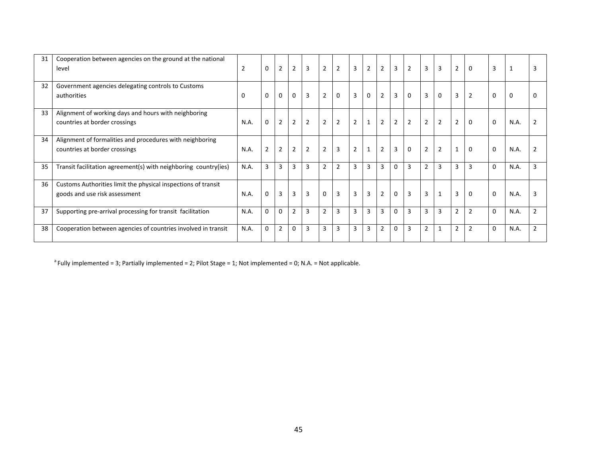| 31 | Cooperation between agencies on the ground at the national<br>level                            | $\overline{2}$ | $\Omega$       | $\overline{2}$ | $\overline{2}$ | 3              | $\overline{2}$ | $\overline{2}$ | 3              | $\overline{2}$ | $2^{\circ}$    | $\overline{3}$ | $\overline{2}$ | $\overline{3}$ | $\overline{3}$ | $\overline{2}$ | $\Omega$       | $\overline{\mathbf{3}}$ |             | 3              |
|----|------------------------------------------------------------------------------------------------|----------------|----------------|----------------|----------------|----------------|----------------|----------------|----------------|----------------|----------------|----------------|----------------|----------------|----------------|----------------|----------------|-------------------------|-------------|----------------|
| 32 | Government agencies delegating controls to Customs<br>authorities                              | 0              | 0              | 0              | 0              | 3              | $\overline{2}$ | $\mathbf 0$    | 3              | 0              | $2^{\circ}$    | 3              | $\overline{0}$ | 3              | $\mathbf 0$    | 3              | $\overline{2}$ | $\mathbf 0$             | $\mathbf 0$ | 0              |
| 33 | Alignment of working days and hours with neighboring<br>countries at border crossings          | N.A.           | 0              | $\overline{2}$ | $\overline{2}$ | $\overline{2}$ | $\overline{2}$ | $\overline{2}$ | $\overline{2}$ | $\mathbf{1}$   | $2^{\circ}$    | $\overline{2}$ | $\overline{2}$ | $\overline{2}$ | $\overline{2}$ | $\overline{2}$ | $\Omega$       | $\mathbf 0$             | N.A.        | 2              |
| 34 | Alignment of formalities and procedures with neighboring<br>countries at border crossings      | N.A.           | $\overline{2}$ | $\overline{2}$ | $\overline{2}$ | $\overline{2}$ | $\overline{2}$ | $\overline{3}$ | $\overline{2}$ | $1\,$          | $2^{\circ}$    | 3              | $\overline{0}$ | $\overline{2}$ | $\overline{2}$ | $\mathbf{1}$   | $\Omega$       | $\mathbf 0$             | N.A.        |                |
| 35 | Transit facilitation agreement(s) with neighboring country(ies)                                | N.A.           | 3              | 3              | 3              | 3              | $\overline{2}$ | $\overline{2}$ | 3              | 3              | 3              | $\Omega$       | 3              | $\overline{2}$ | 3              | 3              | 3              | $\Omega$                | N.A.        | 3              |
| 36 | Customs Authorities limit the physical inspections of transit<br>goods and use risk assessment | N.A.           | $\mathbf 0$    | 3              | 3              | 3              | $\mathbf 0$    | $\overline{3}$ | 3              | 3              | $\overline{2}$ | $\overline{0}$ | 3              | 3              | $\mathbf{1}$   | 3              | $\mathbf 0$    | $\mathbf 0$             | N.A.        | 3              |
| 37 | Supporting pre-arrival processing for transit facilitation                                     | N.A.           | 0              | 0              | 2              | 3              | $\overline{2}$ | $\overline{3}$ | 3              | 3              | 3              | 0              | 3              | 3              | 3              | $\overline{2}$ | $\overline{2}$ | $\Omega$                | N.A.        | $\overline{2}$ |
| 38 | Cooperation between agencies of countries involved in transit                                  | N.A.           | $\mathbf 0$    | $\overline{2}$ | 0              | 3              | 3              | 3              | 3              | 3              | $\overline{2}$ | $\mathbf{0}$   | 3              | 2              | 1              | $\overline{2}$ | $\overline{2}$ | $\mathbf 0$             | N.A.        | $\overline{2}$ |

 $a<sup>a</sup>$  Fully implemented = 3; Partially implemented = 2; Pilot Stage = 1; Not implemented = 0; N.A. = Not applicable.